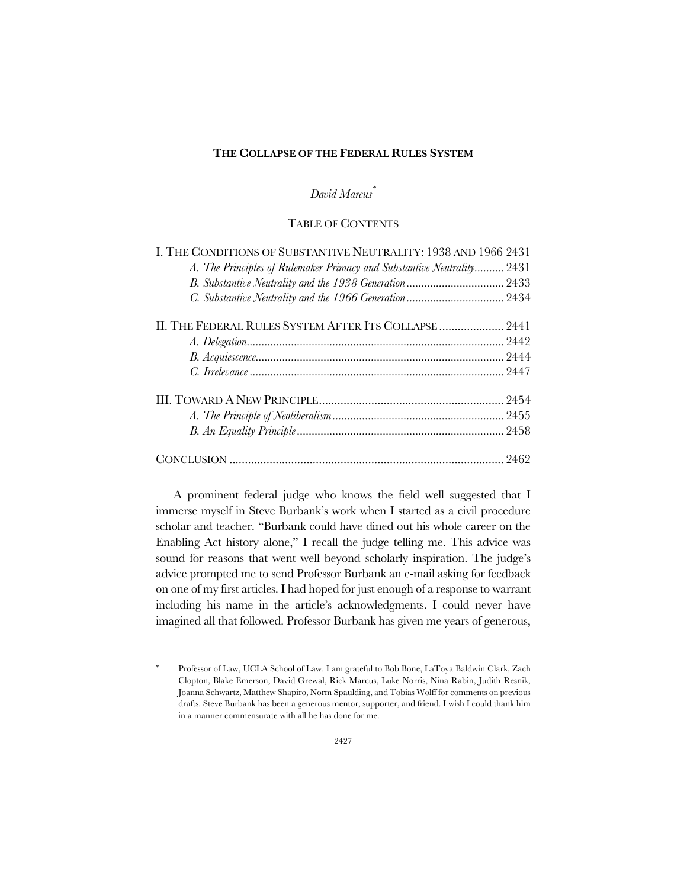### **THE COLLAPSE OF THE FEDERAL RULES SYSTEM**

# *David Marcus*\*

## TABLE OF CONTENTS

| I. THE CONDITIONS OF SUBSTANTIVE NEUTRALITY: 1938 AND 1966 2431        |  |
|------------------------------------------------------------------------|--|
| A. The Principles of Rulemaker Primacy and Substantive Neutrality 2431 |  |
|                                                                        |  |
|                                                                        |  |
| II. THE FEDERAL RULES SYSTEM AFTER ITS COLLAPSE  2441                  |  |
|                                                                        |  |
|                                                                        |  |
|                                                                        |  |
|                                                                        |  |
|                                                                        |  |
|                                                                        |  |
|                                                                        |  |

A prominent federal judge who knows the field well suggested that I immerse myself in Steve Burbank's work when I started as a civil procedure scholar and teacher. "Burbank could have dined out his whole career on the Enabling Act history alone," I recall the judge telling me. This advice was sound for reasons that went well beyond scholarly inspiration. The judge's advice prompted me to send Professor Burbank an e-mail asking for feedback on one of my first articles. I had hoped for just enough of a response to warrant including his name in the article's acknowledgments. I could never have imagined all that followed. Professor Burbank has given me years of generous,

Professor of Law, UCLA School of Law. I am grateful to Bob Bone, LaToya Baldwin Clark, Zach Clopton, Blake Emerson, David Grewal, Rick Marcus, Luke Norris, Nina Rabin, Judith Resnik, Joanna Schwartz, Matthew Shapiro, Norm Spaulding, and Tobias Wolff for comments on previous drafts. Steve Burbank has been a generous mentor, supporter, and friend. I wish I could thank him in a manner commensurate with all he has done for me.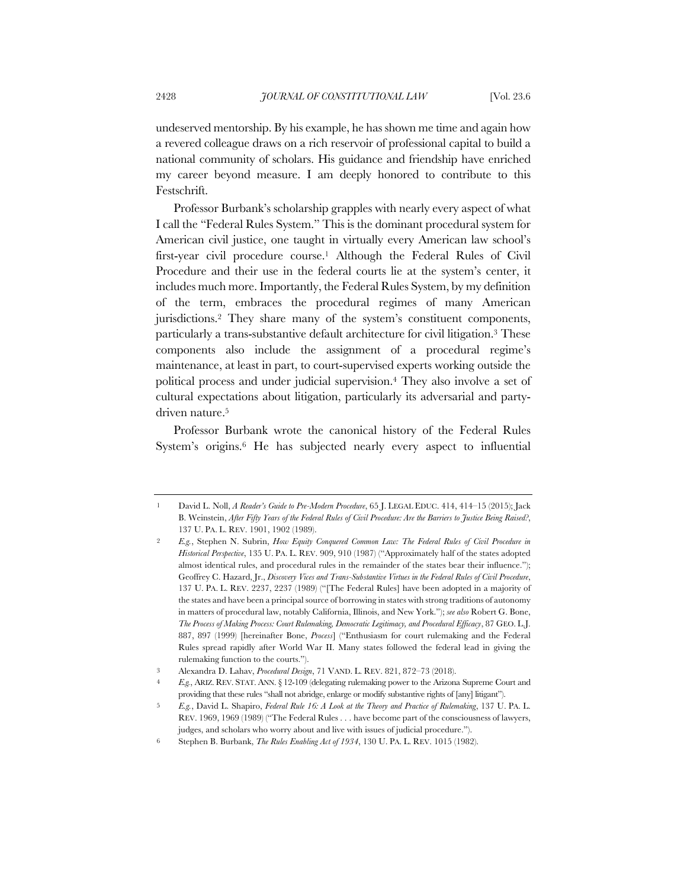undeserved mentorship. By his example, he has shown me time and again how a revered colleague draws on a rich reservoir of professional capital to build a national community of scholars. His guidance and friendship have enriched my career beyond measure. I am deeply honored to contribute to this Festschrift.

Professor Burbank's scholarship grapples with nearly every aspect of what I call the "Federal Rules System." This is the dominant procedural system for American civil justice, one taught in virtually every American law school's first-year civil procedure course.1 Although the Federal Rules of Civil Procedure and their use in the federal courts lie at the system's center, it includes much more. Importantly, the Federal Rules System, by my definition of the term, embraces the procedural regimes of many American jurisdictions.2 They share many of the system's constituent components, particularly a trans-substantive default architecture for civil litigation.3 These components also include the assignment of a procedural regime's maintenance, at least in part, to court-supervised experts working outside the political process and under judicial supervision.4 They also involve a set of cultural expectations about litigation, particularly its adversarial and partydriven nature.5

Professor Burbank wrote the canonical history of the Federal Rules System's origins.6 He has subjected nearly every aspect to influential

<sup>1</sup> David L. Noll, *A Reader's Guide to Pre-Modern Procedure*, 65 J. LEGAL EDUC. 414, 414–15 (2015); Jack B. Weinstein, *After Fifty Years of the Federal Rules of Civil Procedure: Are the Barriers to Justice Being Raised?*, 137 U. PA. L. REV. 1901, 1902 (1989).

<sup>2</sup> *E.g.*, Stephen N. Subrin, *How Equity Conquered Common Law: The Federal Rules of Civil Procedure in Historical Perspective*, 135 U. PA. L. REV. 909, 910 (1987) ("Approximately half of the states adopted almost identical rules, and procedural rules in the remainder of the states bear their influence."); Geoffrey C. Hazard, Jr., *Discovery Vices and Trans-Substantive Virtues in the Federal Rules of Civil Procedure*, 137 U. PA. L. REV. 2237, 2237 (1989) ("[The Federal Rules] have been adopted in a majority of the states and have been a principal source of borrowing in states with strong traditions of autonomy in matters of procedural law, notably California, Illinois, and New York."); *see also* Robert G. Bone, *The Process of Making Process: Court Rulemaking, Democratic Legitimacy, and Procedural Efficacy*, 87 GEO. L.J. 887, 897 (1999) [hereinafter Bone, *Process*] ("Enthusiasm for court rulemaking and the Federal Rules spread rapidly after World War II. Many states followed the federal lead in giving the rulemaking function to the courts.").

<sup>3</sup> Alexandra D. Lahav, *Procedural Design*, 71 VAND. L. REV. 821, 872–73 (2018).

<sup>4</sup> *E.g.*, ARIZ. REV. STAT. ANN. § 12-109 (delegating rulemaking power to the Arizona Supreme Court and providing that these rules "shall not abridge, enlarge or modify substantive rights of [any] litigant").

<sup>5</sup> *E.g.*, David L. Shapiro, *Federal Rule 16: A Look at the Theory and Practice of Rulemaking*, 137 U. PA. L. REV. 1969, 1969 (1989) ("The Federal Rules . . . have become part of the consciousness of lawyers, judges, and scholars who worry about and live with issues of judicial procedure.").

<sup>6</sup> Stephen B. Burbank, *The Rules Enabling Act of 1934*, 130 U. PA. L. REV. 1015 (1982).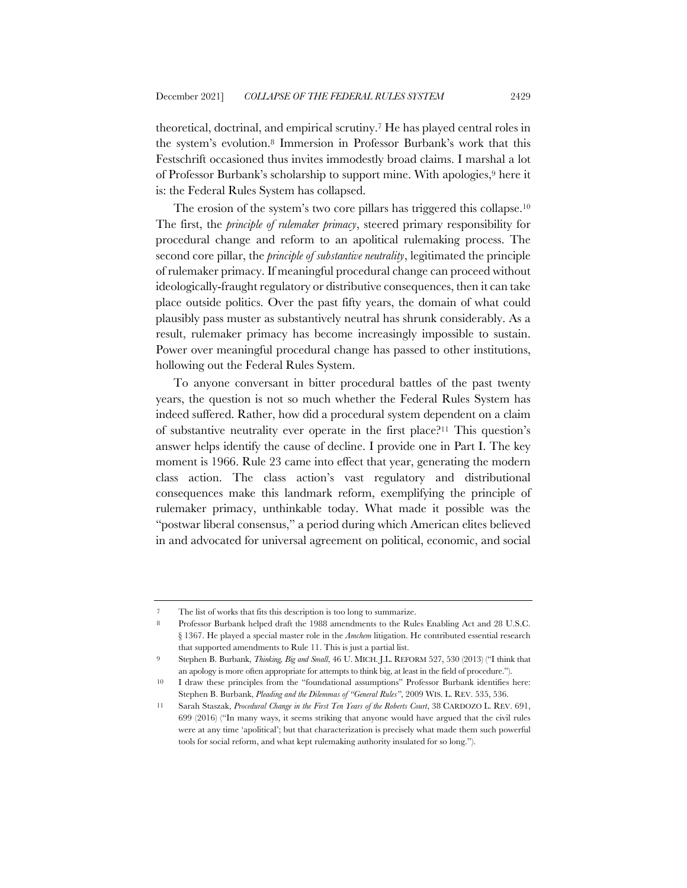theoretical, doctrinal, and empirical scrutiny.7 He has played central roles in the system's evolution.8 Immersion in Professor Burbank's work that this Festschrift occasioned thus invites immodestly broad claims. I marshal a lot of Professor Burbank's scholarship to support mine. With apologies,9 here it is: the Federal Rules System has collapsed.

The erosion of the system's two core pillars has triggered this collapse.10 The first, the *principle of rulemaker primacy*, steered primary responsibility for procedural change and reform to an apolitical rulemaking process. The second core pillar, the *principle of substantive neutrality*, legitimated the principle of rulemaker primacy. If meaningful procedural change can proceed without ideologically-fraught regulatory or distributive consequences, then it can take place outside politics. Over the past fifty years, the domain of what could plausibly pass muster as substantively neutral has shrunk considerably. As a result, rulemaker primacy has become increasingly impossible to sustain. Power over meaningful procedural change has passed to other institutions, hollowing out the Federal Rules System.

To anyone conversant in bitter procedural battles of the past twenty years, the question is not so much whether the Federal Rules System has indeed suffered. Rather, how did a procedural system dependent on a claim of substantive neutrality ever operate in the first place?11 This question's answer helps identify the cause of decline. I provide one in Part I. The key moment is 1966. Rule 23 came into effect that year, generating the modern class action. The class action's vast regulatory and distributional consequences make this landmark reform, exemplifying the principle of rulemaker primacy, unthinkable today. What made it possible was the "postwar liberal consensus," a period during which American elites believed in and advocated for universal agreement on political, economic, and social

<sup>7</sup> The list of works that fits this description is too long to summarize.

<sup>8</sup> Professor Burbank helped draft the 1988 amendments to the Rules Enabling Act and 28 U.S.C. § 1367. He played a special master role in the *Amchem* litigation. He contributed essential research that supported amendments to Rule 11. This is just a partial list.

<sup>9</sup> Stephen B. Burbank, *Thinking, Big and Small*, 46 U. MICH. J.L. REFORM 527, 530 (2013) ("I think that an apology is more often appropriate for attempts to think big, at least in the field of procedure.").

<sup>10</sup> I draw these principles from the "foundational assumptions" Professor Burbank identifies here: Stephen B. Burbank, *Pleading and the Dilemmas of "General Rules"*, 2009 WIS. L. REV. 535, 536.

<sup>11</sup> Sarah Staszak, *Procedural Change in the First Ten Years of the Roberts Court*, 38 CARDOZO L. REV. 691, 699 (2016) ("In many ways, it seems striking that anyone would have argued that the civil rules were at any time 'apolitical'; but that characterization is precisely what made them such powerful tools for social reform, and what kept rulemaking authority insulated for so long.").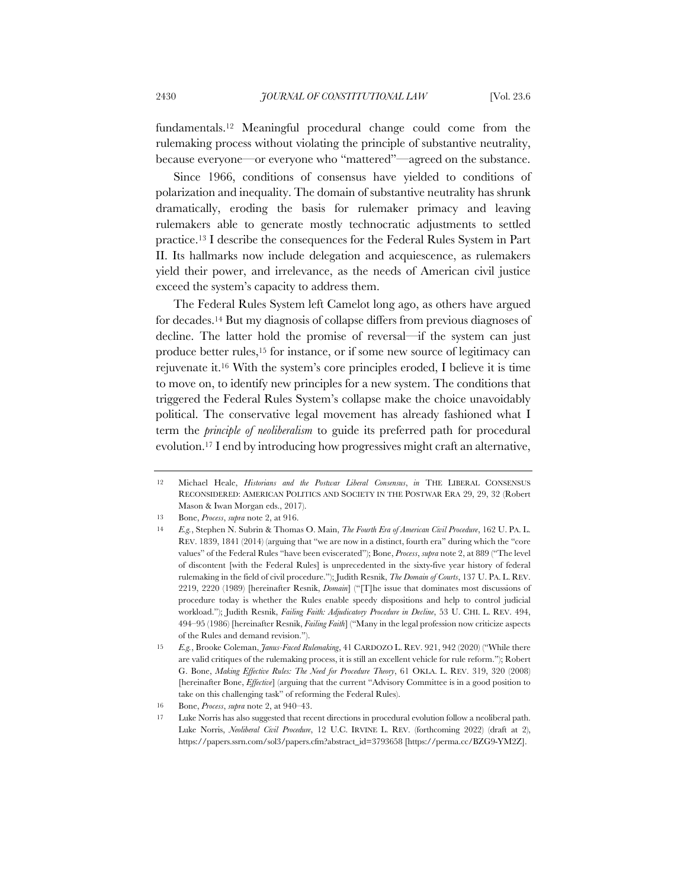fundamentals.12 Meaningful procedural change could come from the rulemaking process without violating the principle of substantive neutrality, because everyone—or everyone who "mattered"—agreed on the substance.

Since 1966, conditions of consensus have yielded to conditions of polarization and inequality. The domain of substantive neutrality has shrunk dramatically, eroding the basis for rulemaker primacy and leaving rulemakers able to generate mostly technocratic adjustments to settled practice.13 I describe the consequences for the Federal Rules System in Part II. Its hallmarks now include delegation and acquiescence, as rulemakers yield their power, and irrelevance, as the needs of American civil justice exceed the system's capacity to address them.

The Federal Rules System left Camelot long ago, as others have argued for decades.14 But my diagnosis of collapse differs from previous diagnoses of decline. The latter hold the promise of reversal—if the system can just produce better rules,15 for instance, or if some new source of legitimacy can rejuvenate it.16 With the system's core principles eroded, I believe it is time to move on, to identify new principles for a new system. The conditions that triggered the Federal Rules System's collapse make the choice unavoidably political. The conservative legal movement has already fashioned what I term the *principle of neoliberalism* to guide its preferred path for procedural evolution.17 I end by introducing how progressives might craft an alternative,

<sup>12</sup> Michael Heale, *Historians and the Postwar Liberal Consensus*, *in* THE LIBERAL CONSENSUS RECONSIDERED: AMERICAN POLITICS AND SOCIETY IN THE POSTWAR ERA 29, 29, 32 (Robert Mason & Iwan Morgan eds., 2017).

<sup>13</sup> Bone, *Process*, *supra* note 2, at 916.

<sup>14</sup> *E.g.*, Stephen N. Subrin & Thomas O. Main, *The Fourth Era of American Civil Procedure*, 162 U. PA. L. REV. 1839, 1841 (2014) (arguing that "we are now in a distinct, fourth era" during which the "core values" of the Federal Rules "have been eviscerated"); Bone, *Process*, *supra* note 2, at 889 ("The level of discontent [with the Federal Rules] is unprecedented in the sixty-five year history of federal rulemaking in the field of civil procedure."); Judith Resnik, *The Domain of Courts*, 137 U. PA. L. REV. 2219, 2220 (1989) [hereinafter Resnik, *Domain*] ("[T]he issue that dominates most discussions of procedure today is whether the Rules enable speedy dispositions and help to control judicial workload."); Judith Resnik, *Failing Faith: Adjudicatory Procedure in Decline*, 53 U. CHI. L. REV. 494, 494–95 (1986) [hereinafter Resnik, *Failing Faith*] ("Many in the legal profession now criticize aspects of the Rules and demand revision.").

<sup>15</sup> *E.g.*, Brooke Coleman, *Janus-Faced Rulemaking*, 41 CARDOZO L. REV. 921, 942 (2020) ("While there are valid critiques of the rulemaking process, it is still an excellent vehicle for rule reform."); Robert G. Bone, *Making Effective Rules: The Need for Procedure Theory*, 61 OKLA. L. REV. 319, 320 (2008) [hereinafter Bone, *Effective*] (arguing that the current "Advisory Committee is in a good position to take on this challenging task" of reforming the Federal Rules).

<sup>16</sup> Bone, *Process*, *supra* note 2, at 940–43.

<sup>17</sup> Luke Norris has also suggested that recent directions in procedural evolution follow a neoliberal path. Luke Norris, *Neoliberal Civil Procedure*, 12 U.C. IRVINE L. REV. (forthcoming 2022) (draft at 2), https://papers.ssrn.com/sol3/papers.cfm?abstract\_id=3793658 [https://perma.cc/BZG9-YM2Z].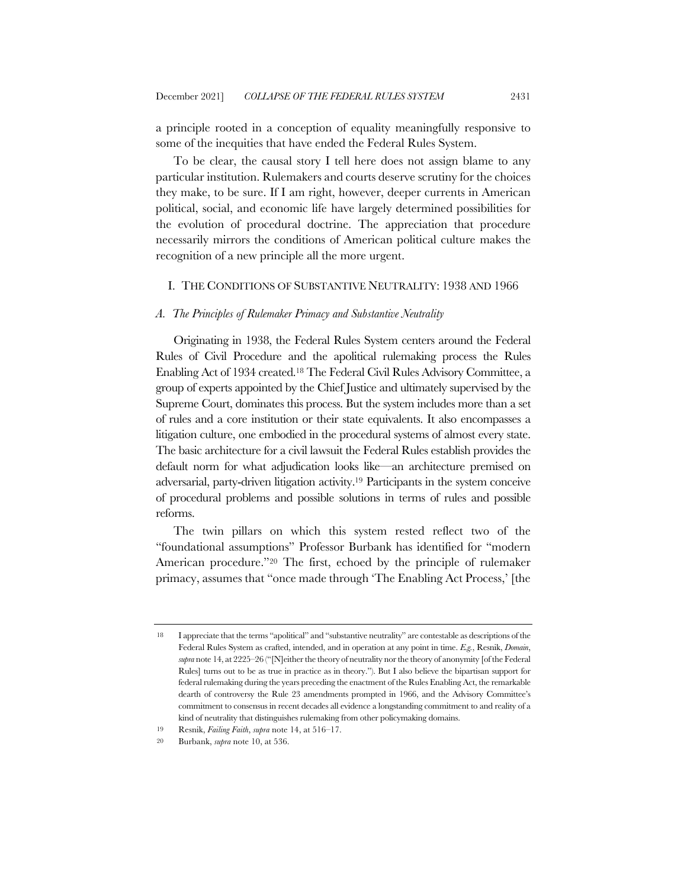a principle rooted in a conception of equality meaningfully responsive to some of the inequities that have ended the Federal Rules System.

To be clear, the causal story I tell here does not assign blame to any particular institution. Rulemakers and courts deserve scrutiny for the choices they make, to be sure. If I am right, however, deeper currents in American political, social, and economic life have largely determined possibilities for the evolution of procedural doctrine. The appreciation that procedure necessarily mirrors the conditions of American political culture makes the recognition of a new principle all the more urgent.

#### I. THE CONDITIONS OF SUBSTANTIVE NEUTRALITY: 1938 AND 1966

## *A. The Principles of Rulemaker Primacy and Substantive Neutrality*

Originating in 1938, the Federal Rules System centers around the Federal Rules of Civil Procedure and the apolitical rulemaking process the Rules Enabling Act of 1934 created.18 The Federal Civil Rules Advisory Committee, a group of experts appointed by the Chief Justice and ultimately supervised by the Supreme Court, dominates this process. But the system includes more than a set of rules and a core institution or their state equivalents. It also encompasses a litigation culture, one embodied in the procedural systems of almost every state. The basic architecture for a civil lawsuit the Federal Rules establish provides the default norm for what adjudication looks like—an architecture premised on adversarial, party-driven litigation activity.19 Participants in the system conceive of procedural problems and possible solutions in terms of rules and possible reforms.

The twin pillars on which this system rested reflect two of the "foundational assumptions" Professor Burbank has identified for "modern American procedure."20 The first, echoed by the principle of rulemaker primacy, assumes that "once made through 'The Enabling Act Process,' [the

<sup>18</sup> I appreciate that the terms "apolitical" and "substantive neutrality" are contestable as descriptions of the Federal Rules System as crafted, intended, and in operation at any point in time. *E.g.*, Resnik, *Domain*, *supra* note 14, at 2225–26 ("[N]either the theory of neutrality nor the theory of anonymity [of the Federal Rules] turns out to be as true in practice as in theory."). But I also believe the bipartisan support for federal rulemaking during the years preceding the enactment of the Rules Enabling Act, the remarkable dearth of controversy the Rule 23 amendments prompted in 1966, and the Advisory Committee's commitment to consensus in recent decades all evidence a longstanding commitment to and reality of a kind of neutrality that distinguishes rulemaking from other policymaking domains.

<sup>19</sup> Resnik, *Failing Faith*, *supra* note 14, at 516–17.

<sup>20</sup> Burbank, *supra* note 10, at 536.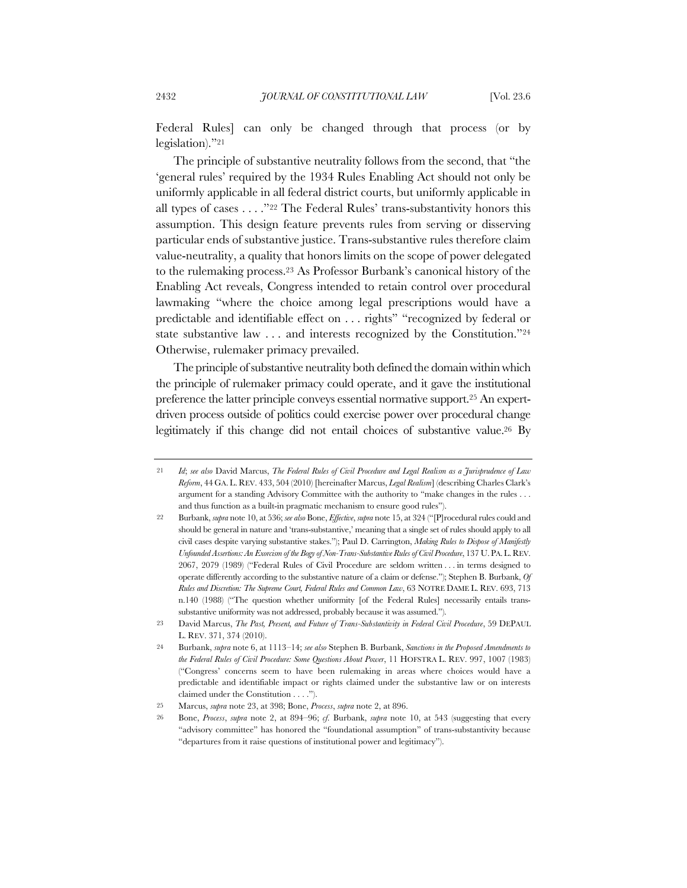Federal Rules] can only be changed through that process (or by legislation)."21

The principle of substantive neutrality follows from the second, that "the 'general rules' required by the 1934 Rules Enabling Act should not only be uniformly applicable in all federal district courts, but uniformly applicable in all types of cases . . . ."22 The Federal Rules' trans-substantivity honors this assumption. This design feature prevents rules from serving or disserving particular ends of substantive justice. Trans-substantive rules therefore claim value-neutrality, a quality that honors limits on the scope of power delegated to the rulemaking process.23 As Professor Burbank's canonical history of the Enabling Act reveals, Congress intended to retain control over procedural lawmaking "where the choice among legal prescriptions would have a predictable and identifiable effect on . . . rights" "recognized by federal or state substantive law . . . and interests recognized by the Constitution."24 Otherwise, rulemaker primacy prevailed.

The principle of substantive neutrality both defined the domain within which the principle of rulemaker primacy could operate, and it gave the institutional preference the latter principle conveys essential normative support.25 An expertdriven process outside of politics could exercise power over procedural change legitimately if this change did not entail choices of substantive value.26 By

<sup>21</sup> *Id*; *see also* David Marcus, *The Federal Rules of Civil Procedure and Legal Realism as a Jurisprudence of Law Reform*, 44 GA. L. REV. 433, 504 (2010) [hereinafter Marcus, *Legal Realism*] (describing Charles Clark's argument for a standing Advisory Committee with the authority to "make changes in the rules . . . and thus function as a built-in pragmatic mechanism to ensure good rules").

<sup>22</sup> Burbank, *supra* note 10, at 536; *see also* Bone, *Effective*, *supra* note 15, at 324 ("[P]rocedural rules could and should be general in nature and 'trans-substantive,' meaning that a single set of rules should apply to all civil cases despite varying substantive stakes."); Paul D. Carrington, *Making Rules to Dispose of Manifestly Unfounded Assertions: An Exorcism of the Bogy of Non-Trans-Substantive Rules of Civil Procedure*, 137 U.PA.L.REV. 2067, 2079 (1989) ("Federal Rules of Civil Procedure are seldom written . . . in terms designed to operate differently according to the substantive nature of a claim or defense."); Stephen B. Burbank, *Of Rules and Discretion: The Supreme Court, Federal Rules and Common Law*, 63 NOTRE DAME L. REV. 693, 713 n.140 (1988) ("The question whether uniformity [of the Federal Rules] necessarily entails transsubstantive uniformity was not addressed, probably because it was assumed.").

<sup>23</sup> David Marcus, *The Past, Present, and Future of Trans-Substantivity in Federal Civil Procedure*, 59 DEPAUL L. REV. 371, 374 (2010).

<sup>24</sup> Burbank, *supra* note 6, at 1113–14; *see also* Stephen B. Burbank, *Sanctions in the Proposed Amendments to the Federal Rules of Civil Procedure: Some Questions About Power*, 11 HOFSTRA L. REV. 997, 1007 (1983) ("Congress' concerns seem to have been rulemaking in areas where choices would have a predictable and identifiable impact or rights claimed under the substantive law or on interests claimed under the Constitution . . . .").

<sup>25</sup> Marcus, *supra* note 23, at 398; Bone, *Process*, *supra* note 2, at 896.

<sup>26</sup> Bone, *Process*, *supra* note 2, at 894–96; *cf.* Burbank, *supra* note 10, at 543 (suggesting that every "advisory committee" has honored the "foundational assumption" of trans-substantivity because "departures from it raise questions of institutional power and legitimacy").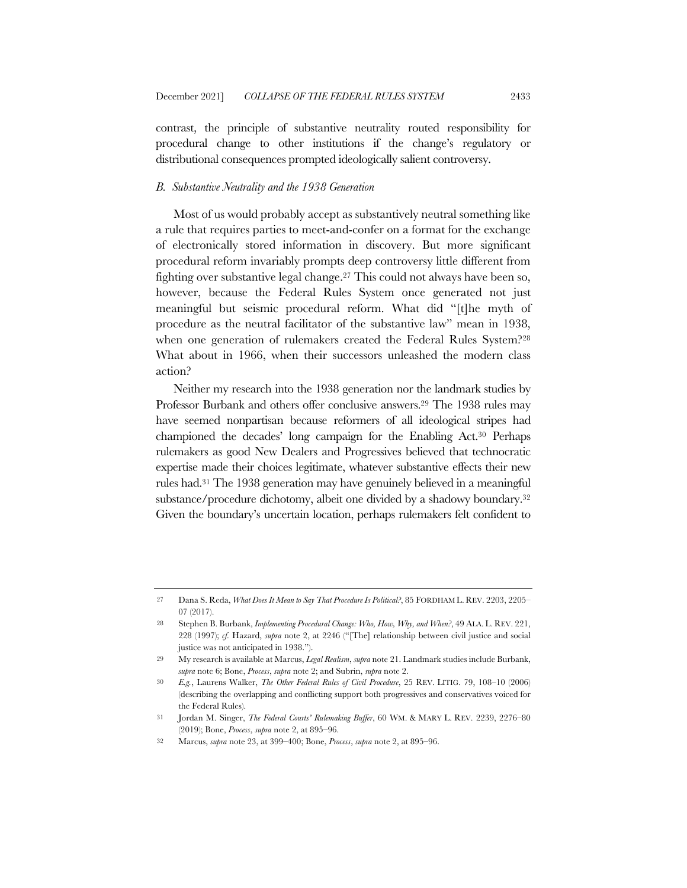contrast, the principle of substantive neutrality routed responsibility for procedural change to other institutions if the change's regulatory or distributional consequences prompted ideologically salient controversy.

## *B. Substantive Neutrality and the 1938 Generation*

Most of us would probably accept as substantively neutral something like a rule that requires parties to meet-and-confer on a format for the exchange of electronically stored information in discovery. But more significant procedural reform invariably prompts deep controversy little different from fighting over substantive legal change.27 This could not always have been so, however, because the Federal Rules System once generated not just meaningful but seismic procedural reform. What did "[t]he myth of procedure as the neutral facilitator of the substantive law" mean in 1938, when one generation of rulemakers created the Federal Rules System?<sup>28</sup> What about in 1966, when their successors unleashed the modern class action?

Neither my research into the 1938 generation nor the landmark studies by Professor Burbank and others offer conclusive answers.29 The 1938 rules may have seemed nonpartisan because reformers of all ideological stripes had championed the decades' long campaign for the Enabling Act.30 Perhaps rulemakers as good New Dealers and Progressives believed that technocratic expertise made their choices legitimate, whatever substantive effects their new rules had.31 The 1938 generation may have genuinely believed in a meaningful substance/procedure dichotomy, albeit one divided by a shadowy boundary.<sup>32</sup> Given the boundary's uncertain location, perhaps rulemakers felt confident to

<sup>27</sup> Dana S. Reda, *What Does It Mean to Say That Procedure Is Political?*, 85 FORDHAM L. REV. 2203, 2205– 07 (2017).

<sup>28</sup> Stephen B. Burbank, *Implementing Procedural Change: Who, How, Why, and When?*, 49 ALA. L. REV. 221, 228 (1997); *cf.* Hazard, *supra* note 2, at 2246 ("[The] relationship between civil justice and social justice was not anticipated in 1938.").

<sup>29</sup> My research is available at Marcus, *Legal Realism*, *supra* note 21. Landmark studies include Burbank, *supra* note 6; Bone, *Process*, *supra* note 2; and Subrin, *supra* note 2.

<sup>30</sup> *E.g.*, Laurens Walker, *The Other Federal Rules of Civil Procedure*, 25 REV. LITIG. 79, 108–10 (2006) (describing the overlapping and conflicting support both progressives and conservatives voiced for the Federal Rules).

<sup>31</sup> Jordan M. Singer, *The Federal Courts' Rulemaking Buffer*, 60 WM. & MARY L. REV. 2239, 2276–80 (2019); Bone, *Process*, *supra* note 2, at 895–96.

<sup>32</sup> Marcus, *supra* note 23, at 399–400; Bone, *Process*, *supra* note 2, at 895–96.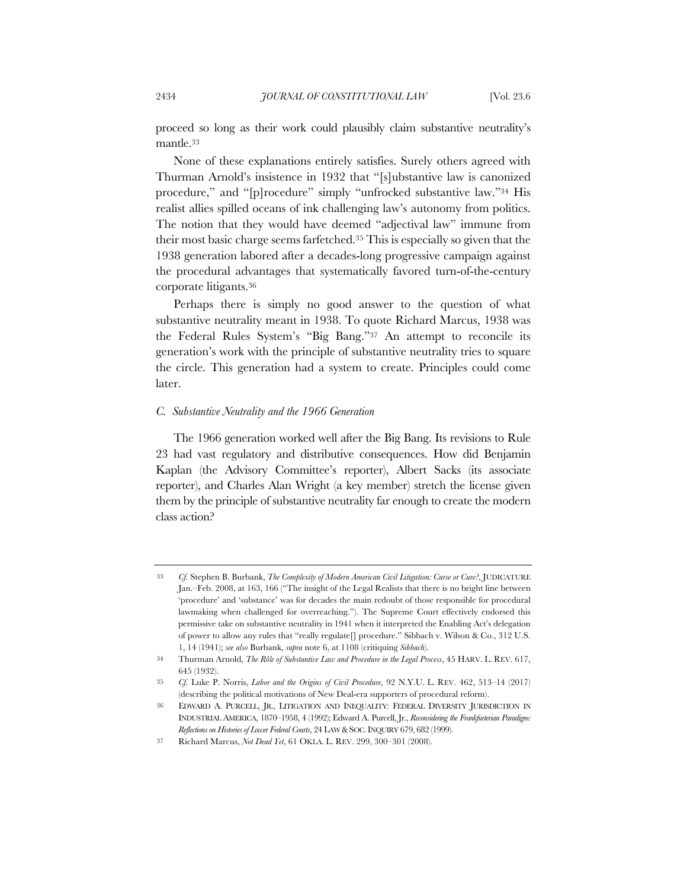proceed so long as their work could plausibly claim substantive neutrality's mantle.33

None of these explanations entirely satisfies. Surely others agreed with Thurman Arnold's insistence in 1932 that "[s]ubstantive law is canonized procedure," and "[p]rocedure" simply "unfrocked substantive law."34 His realist allies spilled oceans of ink challenging law's autonomy from politics. The notion that they would have deemed "adjectival law" immune from their most basic charge seems farfetched.35 This is especially so given that the 1938 generation labored after a decades-long progressive campaign against the procedural advantages that systematically favored turn-of-the-century corporate litigants.36

Perhaps there is simply no good answer to the question of what substantive neutrality meant in 1938. To quote Richard Marcus, 1938 was the Federal Rules System's "Big Bang."37 An attempt to reconcile its generation's work with the principle of substantive neutrality tries to square the circle. This generation had a system to create. Principles could come later.

### *C. Substantive Neutrality and the 1966 Generation*

The 1966 generation worked well after the Big Bang. Its revisions to Rule 23 had vast regulatory and distributive consequences. How did Benjamin Kaplan (the Advisory Committee's reporter), Albert Sacks (its associate reporter), and Charles Alan Wright (a key member) stretch the license given them by the principle of substantive neutrality far enough to create the modern class action?

<sup>33</sup> *Cf.* Stephen B. Burbank, *The Complexity of Modern American Civil Litigation: Curse or Cure?*, JUDICATURE Jan.–Feb. 2008, at 163, 166 ("The insight of the Legal Realists that there is no bright line between 'procedure' and 'substance' was for decades the main redoubt of those responsible for procedural lawmaking when challenged for overreaching."). The Supreme Court effectively endorsed this permissive take on substantive neutrality in 1941 when it interpreted the Enabling Act's delegation of power to allow any rules that "really regulate[] procedure." Sibbach v. Wilson & Co., 312 U.S. 1, 14 (1941); *see also* Burbank, *supra* note 6, at 1108 (critiquing *Sibbach*).

<sup>34</sup> Thurman Arnold, *The Rôle of Substantive Law and Procedure in the Legal Process*, 45 HARV. L. REV. 617, 645 (1932).

<sup>35</sup> *Cf.* Luke P. Norris, *Labor and the Origins of Civil Procedure*, 92 N.Y.U. L. REV. 462, 513–14 (2017) (describing the political motivations of New Deal-era supporters of procedural reform).

<sup>36</sup> EDWARD A. PURCELL, JR., LITIGATION AND INEQUALITY: FEDERAL DIVERSITY JURISDICTION IN INDUSTRIAL AMERICA, 1870–1958, 4 (1992); Edward A. Purcell, Jr., *Reconsidering the Frankfurterian Paradigm:*  Reflections on Histories of Lower Federal Courts, 24 LAW & SOC. INQUIRY 679, 682 (1999).

<sup>37</sup> Richard Marcus, *Not Dead Yet*, 61 OKLA. L. REV. 299, 300–301 (2008).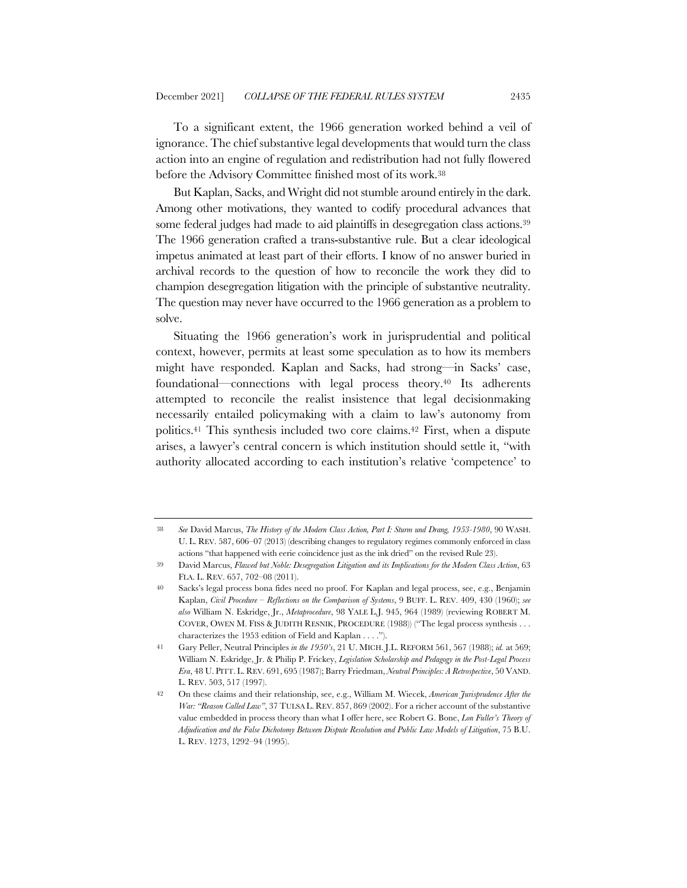To a significant extent, the 1966 generation worked behind a veil of ignorance. The chief substantive legal developments that would turn the class action into an engine of regulation and redistribution had not fully flowered before the Advisory Committee finished most of its work.38

But Kaplan, Sacks, and Wright did not stumble around entirely in the dark. Among other motivations, they wanted to codify procedural advances that some federal judges had made to aid plaintiffs in desegregation class actions.<sup>39</sup> The 1966 generation crafted a trans-substantive rule. But a clear ideological impetus animated at least part of their efforts. I know of no answer buried in archival records to the question of how to reconcile the work they did to champion desegregation litigation with the principle of substantive neutrality. The question may never have occurred to the 1966 generation as a problem to solve.

Situating the 1966 generation's work in jurisprudential and political context, however, permits at least some speculation as to how its members might have responded. Kaplan and Sacks, had strong—in Sacks' case, foundational—connections with legal process theory.40 Its adherents attempted to reconcile the realist insistence that legal decisionmaking necessarily entailed policymaking with a claim to law's autonomy from politics.41 This synthesis included two core claims.42 First, when a dispute arises, a lawyer's central concern is which institution should settle it, "with authority allocated according to each institution's relative 'competence' to

<sup>38</sup> *See* David Marcus, *The History of the Modern Class Action, Part I: Sturm und Drang, 1953-1980*, 90 WASH. U. L. REV. 587, 606–07 (2013) (describing changes to regulatory regimes commonly enforced in class actions "that happened with eerie coincidence just as the ink dried" on the revised Rule 23).

<sup>39</sup> David Marcus, *Flawed but Noble: Desegregation Litigation and its Implications for the Modern Class Action*, 63 FLA. L. REV. 657, 702–08 (2011).

<sup>40</sup> Sacks's legal process bona fides need no proof. For Kaplan and legal process, see, e.g., Benjamin Kaplan, *Civil Procedure – Reflections on the Comparison of Systems*, 9 BUFF. L. REV. 409, 430 (1960); *see also* William N. Eskridge, Jr., *Metaprocedure*, 98 YALE L.J. 945, 964 (1989) (reviewing ROBERT M. COVER, OWEN M. FISS & JUDITH RESNIK, PROCEDURE (1988)) ("The legal process synthesis . . . characterizes the 1953 edition of Field and Kaplan . . . .").

<sup>41</sup> Gary Peller, Neutral Principles *in the 1950's*, 21 U. MICH. J.L. REFORM 561, 567 (1988); *id.* at 569; William N. Eskridge, Jr. & Philip P. Frickey, *Legislation Scholarship and Pedagogy in the Post-Legal Process Era*, 48 U. PITT. L. REV. 691, 695 (1987); Barry Friedman, *Neutral Principles: A Retrospective*, 50 VAND. L. REV. 503, 517 (1997).

<sup>42</sup> On these claims and their relationship, see, e.g., William M. Wiecek, *American Jurisprudence After the War: "Reason Called Law"*, 37 TULSA L. REV. 857, 869 (2002). For a richer account of the substantive value embedded in process theory than what I offer here, see Robert G. Bone, *Lon Fuller's Theory of Adjudication and the False Dichotomy Between Dispute Resolution and Public Law Models of Litigation*, 75 B.U. L. REV. 1273, 1292–94 (1995).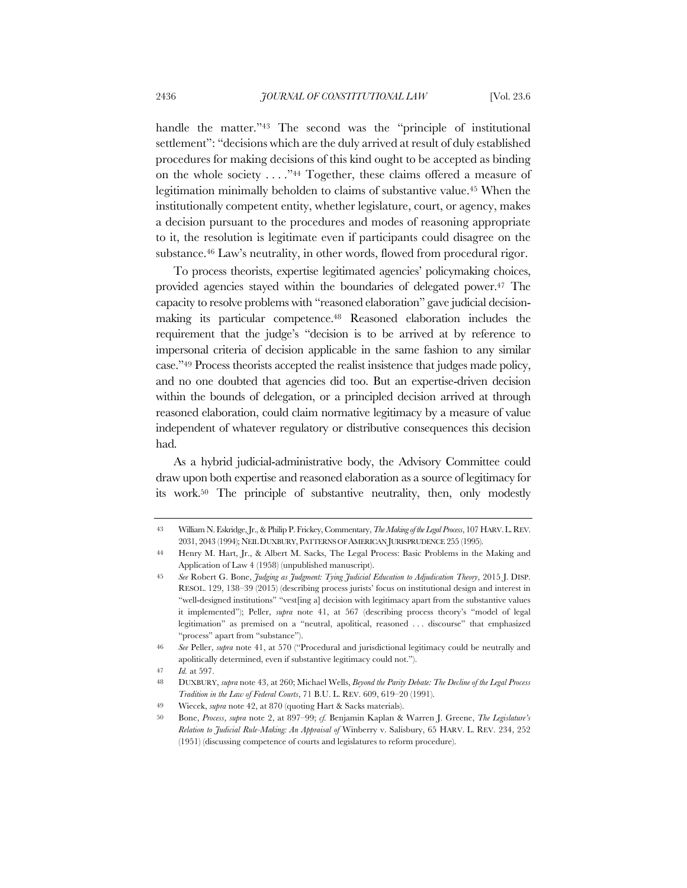handle the matter."43 The second was the "principle of institutional settlement": "decisions which are the duly arrived at result of duly established procedures for making decisions of this kind ought to be accepted as binding on the whole society . . . ."44 Together, these claims offered a measure of legitimation minimally beholden to claims of substantive value.45 When the institutionally competent entity, whether legislature, court, or agency, makes a decision pursuant to the procedures and modes of reasoning appropriate to it, the resolution is legitimate even if participants could disagree on the substance.46 Law's neutrality, in other words, flowed from procedural rigor.

To process theorists, expertise legitimated agencies' policymaking choices, provided agencies stayed within the boundaries of delegated power.47 The capacity to resolve problems with "reasoned elaboration" gave judicial decisionmaking its particular competence.48 Reasoned elaboration includes the requirement that the judge's "decision is to be arrived at by reference to impersonal criteria of decision applicable in the same fashion to any similar case."49 Process theorists accepted the realist insistence that judges made policy, and no one doubted that agencies did too. But an expertise-driven decision within the bounds of delegation, or a principled decision arrived at through reasoned elaboration, could claim normative legitimacy by a measure of value independent of whatever regulatory or distributive consequences this decision had.

As a hybrid judicial-administrative body, the Advisory Committee could draw upon both expertise and reasoned elaboration as a source of legitimacy for its work.50 The principle of substantive neutrality, then, only modestly

<sup>43</sup> William N. Eskridge, Jr., & Philip P. Frickey, Commentary, *The Making of the Legal Process*, 107 HARV.L.REV. 2031, 2043 (1994); NEIL DUXBURY,PATTERNS OF AMERICAN JURISPRUDENCE 255 (1995).

<sup>44</sup> Henry M. Hart, Jr., & Albert M. Sacks, The Legal Process: Basic Problems in the Making and Application of Law 4 (1958) (unpublished manuscript).

<sup>45</sup> *See* Robert G. Bone, *Judging as Judgment: Tying Judicial Education to Adjudication Theory*, 2015 J. DISP. RESOL. 129, 138–39 (2015) (describing process jurists' focus on institutional design and interest in "well-designed institutions" "vest[ing a] decision with legitimacy apart from the substantive values it implemented"); Peller, *supra* note 41, at 567 (describing process theory's "model of legal legitimation" as premised on a "neutral, apolitical, reasoned . . . discourse" that emphasized "process" apart from "substance").

<sup>46</sup> *See* Peller, *supra* note 41, at 570 ("Procedural and jurisdictional legitimacy could be neutrally and apolitically determined, even if substantive legitimacy could not.").

<sup>47</sup> *Id.* at 597.

<sup>48</sup> DUXBURY, *supra* note 43, at 260; Michael Wells, *Beyond the Parity Debate: The Decline of the Legal Process Tradition in the Law of Federal Courts*, 71 B.U. L. REV. 609, 619–20 (1991).

<sup>49</sup> Wiecek, *supra* note 42, at 870 (quoting Hart & Sacks materials).

<sup>50</sup> Bone, *Process*, *supra* note 2, at 897–99; *cf.* Benjamin Kaplan & Warren J. Greene, *The Legislature's Relation to Judicial Rule-Making: An Appraisal of* Winberry v. Salisbury, 65 HARV. L. REV. 234, 252 (1951) (discussing competence of courts and legislatures to reform procedure).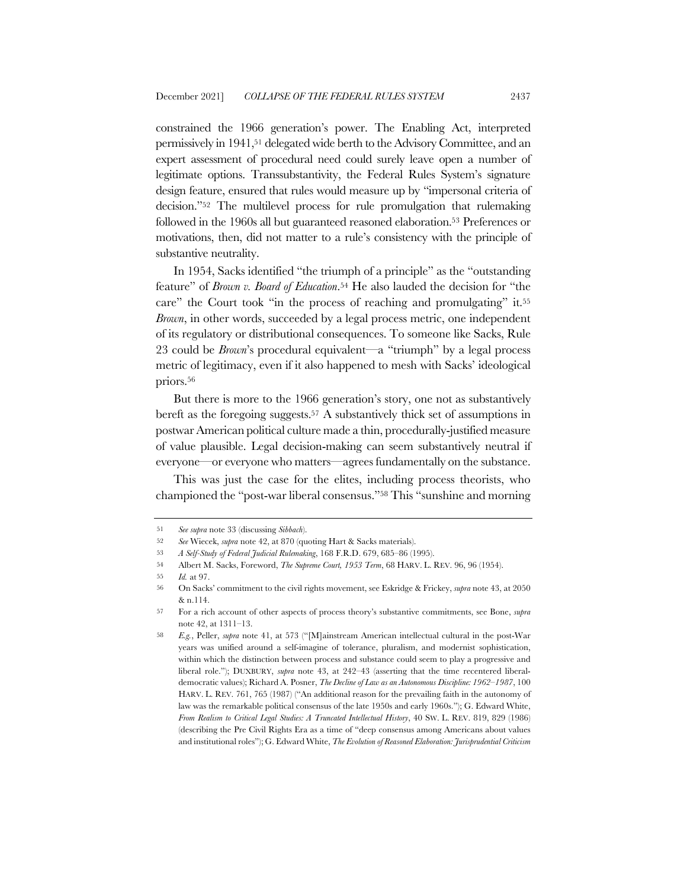constrained the 1966 generation's power. The Enabling Act, interpreted permissively in 1941,51 delegated wide berth to the Advisory Committee, and an expert assessment of procedural need could surely leave open a number of legitimate options. Transsubstantivity, the Federal Rules System's signature design feature, ensured that rules would measure up by "impersonal criteria of decision."52 The multilevel process for rule promulgation that rulemaking followed in the 1960s all but guaranteed reasoned elaboration.53 Preferences or motivations, then, did not matter to a rule's consistency with the principle of substantive neutrality.

In 1954, Sacks identified "the triumph of a principle" as the "outstanding feature" of *Brown v. Board of Education*.54 He also lauded the decision for "the care" the Court took "in the process of reaching and promulgating" it.55 *Brown*, in other words, succeeded by a legal process metric, one independent of its regulatory or distributional consequences. To someone like Sacks, Rule 23 could be *Brown*'s procedural equivalent—a "triumph" by a legal process metric of legitimacy, even if it also happened to mesh with Sacks' ideological priors.56

But there is more to the 1966 generation's story, one not as substantively bereft as the foregoing suggests.57 A substantively thick set of assumptions in postwar American political culture made a thin, procedurally-justified measure of value plausible. Legal decision-making can seem substantively neutral if everyone—or everyone who matters—agrees fundamentally on the substance.

This was just the case for the elites, including process theorists, who championed the "post-war liberal consensus."58 This "sunshine and morning

<sup>51</sup> *See supra* note 33 (discussing *Sibbach*).

<sup>52</sup> *See* Wiecek, *supra* note 42, at 870 (quoting Hart & Sacks materials).

<sup>53</sup> *A Self-Study of Federal Judicial Rulemaking*, 168 F.R.D. 679, 685–86 (1995).

<sup>54</sup> Albert M. Sacks, Foreword, *The Supreme Court, 1953 Term*, 68 HARV. L. REV. 96, 96 (1954).

<sup>55</sup> *Id.* at 97.

<sup>56</sup> On Sacks' commitment to the civil rights movement, see Eskridge & Frickey, *supra* note 43, at 2050 & n.114.

<sup>57</sup> For a rich account of other aspects of process theory's substantive commitments, see Bone, *supra* note 42, at 1311–13.

<sup>58</sup> *E.g.*, Peller, *supra* note 41, at 573 ("[M]ainstream American intellectual cultural in the post-War years was unified around a self-imagine of tolerance, pluralism, and modernist sophistication, within which the distinction between process and substance could seem to play a progressive and liberal role."); DUXBURY, *supra* note 43, at 242–43 (asserting that the time recentered liberaldemocratic values); Richard A. Posner, *The Decline of Law as an Autonomous Discipline: 1962–1987*, 100 HARV. L. REV. 761, 765 (1987) ("An additional reason for the prevailing faith in the autonomy of law was the remarkable political consensus of the late 1950s and early 1960s."); G. Edward White, *From Realism to Critical Legal Studies: A Truncated Intellectual History*, 40 SW. L. REV. 819, 829 (1986) (describing the Pre Civil Rights Era as a time of "deep consensus among Americans about values and institutional roles"); G. Edward White, *The Evolution of Reasoned Elaboration: Jurisprudential Criticism*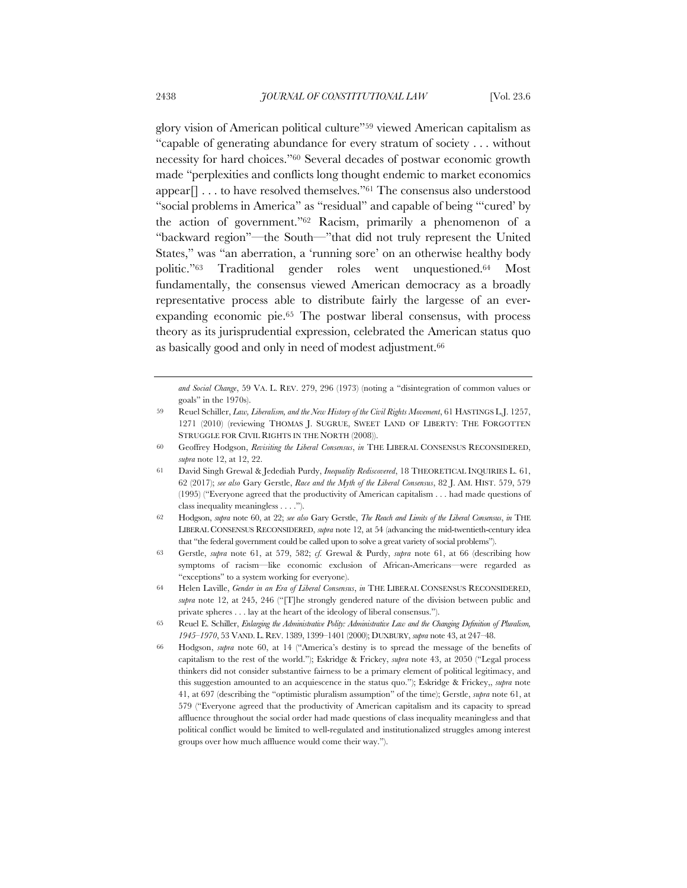glory vision of American political culture"59 viewed American capitalism as "capable of generating abundance for every stratum of society . . . without necessity for hard choices."60 Several decades of postwar economic growth made "perplexities and conflicts long thought endemic to market economics appear[] . . . to have resolved themselves."61 The consensus also understood "social problems in America" as "residual" and capable of being "'cured' by the action of government."62 Racism, primarily a phenomenon of a "backward region"—the South—"that did not truly represent the United States," was "an aberration, a 'running sore' on an otherwise healthy body politic."63 Traditional gender roles went unquestioned.64 Most fundamentally, the consensus viewed American democracy as a broadly representative process able to distribute fairly the largesse of an everexpanding economic pie.65 The postwar liberal consensus, with process theory as its jurisprudential expression, celebrated the American status quo as basically good and only in need of modest adjustment.66

59 Reuel Schiller, *Law, Liberalism, and the New History of the Civil Rights Movement*, 61 HASTINGS L.J. 1257, 1271 (2010) (reviewing THOMAS J. SUGRUE, SWEET LAND OF LIBERTY: THE FORGOTTEN STRUGGLE FOR CIVIL RIGHTS IN THE NORTH (2008)).

*and Social Change*, 59 VA. L. REV. 279, 296 (1973) (noting a "disintegration of common values or goals" in the 1970s).

<sup>60</sup> Geoffrey Hodgson, *Revisiting the Liberal Consensus*, *in* THE LIBERAL CONSENSUS RECONSIDERED, *supra* note 12, at 12, 22.

<sup>61</sup> David Singh Grewal & Jedediah Purdy, *Inequality Rediscovered*, 18 THEORETICAL INQUIRIES L. 61, 62 (2017); *see also* Gary Gerstle, *Race and the Myth of the Liberal Consensus*, 82 J. AM. HIST. 579, 579 (1995) ("Everyone agreed that the productivity of American capitalism . . . had made questions of class inequality meaningless . . . .").

<sup>62</sup> Hodgson, *supra* note 60, at 22; *see also* Gary Gerstle, *The Reach and Limits of the Liberal Consensus*, *in* THE LIBERAL CONSENSUS RECONSIDERED, *supra* note 12, at 54 (advancing the mid-twentieth-century idea that "the federal government could be called upon to solve a great variety of social problems").

<sup>63</sup> Gerstle, *supra* note 61, at 579, 582; *cf.* Grewal & Purdy, *supra* note 61, at 66 (describing how symptoms of racism—like economic exclusion of African-Americans—were regarded as "exceptions" to a system working for everyone).

<sup>64</sup> Helen Laville, *Gender in an Era of Liberal Consensus*, *in* THE LIBERAL CONSENSUS RECONSIDERED, *supra* note 12, at 245, 246 ("[T]he strongly gendered nature of the division between public and private spheres . . . lay at the heart of the ideology of liberal consensus.").

<sup>65</sup> Reuel E. Schiller, *Enlarging the Administrative Polity: Administrative Law and the Changing Definition of Pluralism, 1945–1970*, 53 VAND. L. REV. 1389, 1399–1401 (2000); DUXBURY, *supra* note 43, at 247–48.

<sup>66</sup> Hodgson, *supra* note 60, at 14 ("America's destiny is to spread the message of the benefits of capitalism to the rest of the world."); Eskridge & Frickey, *supra* note 43, at 2050 ("Legal process thinkers did not consider substantive fairness to be a primary element of political legitimacy, and this suggestion amounted to an acquiescence in the status quo."); Eskridge & Frickey,, *supra* note 41, at 697 (describing the "optimistic pluralism assumption" of the time); Gerstle, *supra* note 61, at 579 ("Everyone agreed that the productivity of American capitalism and its capacity to spread affluence throughout the social order had made questions of class inequality meaningless and that political conflict would be limited to well-regulated and institutionalized struggles among interest groups over how much affluence would come their way.").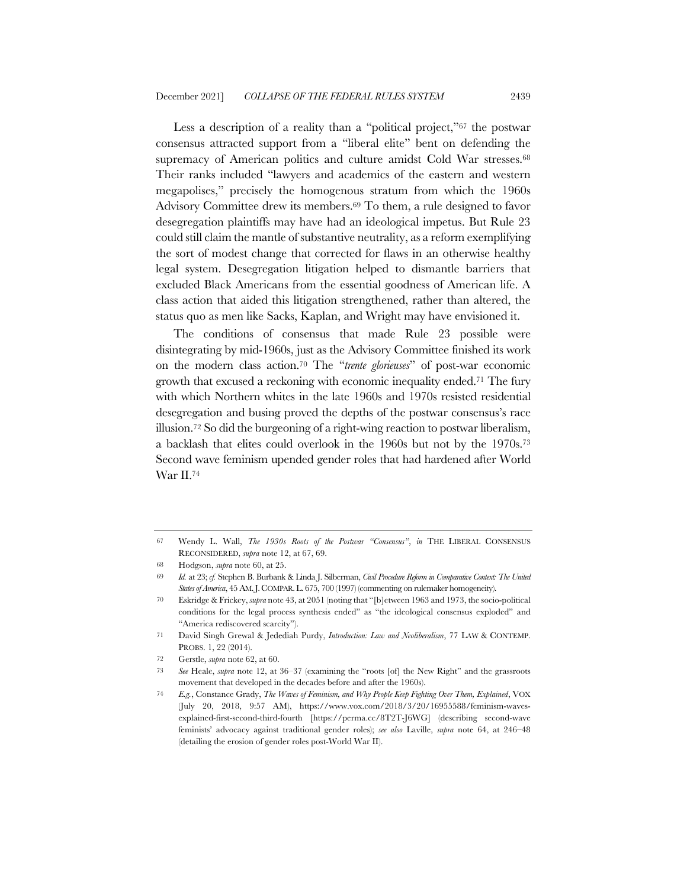Less a description of a reality than a "political project,"<sup>67</sup> the postwar consensus attracted support from a "liberal elite" bent on defending the supremacy of American politics and culture amidst Cold War stresses.<sup>68</sup> Their ranks included "lawyers and academics of the eastern and western megapolises," precisely the homogenous stratum from which the 1960s Advisory Committee drew its members.69 To them, a rule designed to favor desegregation plaintiffs may have had an ideological impetus. But Rule 23 could still claim the mantle of substantive neutrality, as a reform exemplifying the sort of modest change that corrected for flaws in an otherwise healthy legal system. Desegregation litigation helped to dismantle barriers that excluded Black Americans from the essential goodness of American life. A class action that aided this litigation strengthened, rather than altered, the status quo as men like Sacks, Kaplan, and Wright may have envisioned it.

The conditions of consensus that made Rule 23 possible were disintegrating by mid-1960s, just as the Advisory Committee finished its work on the modern class action.70 The "*trente glorieuses*" of post-war economic growth that excused a reckoning with economic inequality ended.71 The fury with which Northern whites in the late 1960s and 1970s resisted residential desegregation and busing proved the depths of the postwar consensus's race illusion.72 So did the burgeoning of a right-wing reaction to postwar liberalism, a backlash that elites could overlook in the 1960s but not by the 1970s.73 Second wave feminism upended gender roles that had hardened after World War II.74

<sup>67</sup> Wendy L. Wall, *The 1930s Roots of the Postwar "Consensus"*, *in* THE LIBERAL CONSENSUS RECONSIDERED, *supra* note 12, at 67, 69.

<sup>68</sup> Hodgson, *supra* note 60, at 25.

<sup>69</sup> *Id.* at 23; *cf.* Stephen B. Burbank & Linda J. Silberman, *Civil Procedure Reform in Comparative Context: The United States of America*, 45 AM.J.COMPAR.L. 675, 700 (1997) (commenting on rulemaker homogeneity).

<sup>70</sup> Eskridge & Frickey, *supra* note 43, at 2051 (noting that "[b]etween 1963 and 1973, the socio-political conditions for the legal process synthesis ended" as "the ideological consensus exploded" and "America rediscovered scarcity").

<sup>71</sup> David Singh Grewal & Jedediah Purdy, *Introduction: Law and Neoliberalism*, 77 LAW & CONTEMP. PROBS. 1, 22 (2014).

<sup>72</sup> Gerstle, *supra* note 62, at 60.

<sup>73</sup> *See* Heale, *supra* note 12, at 36–37 (examining the "roots [of] the New Right" and the grassroots movement that developed in the decades before and after the 1960s).

<sup>74</sup> *E.g.*, Constance Grady, *The Waves of Feminism, and Why People Keep Fighting Over Them, Explained*, VOX (July 20, 2018, 9:57 AM), https://www.vox.com/2018/3/20/16955588/feminism-wavesexplained-first-second-third-fourth [https://perma.cc/8T2T-J6WG] (describing second-wave feminists' advocacy against traditional gender roles); *see also* Laville, *supra* note 64, at 246–48 (detailing the erosion of gender roles post-World War II).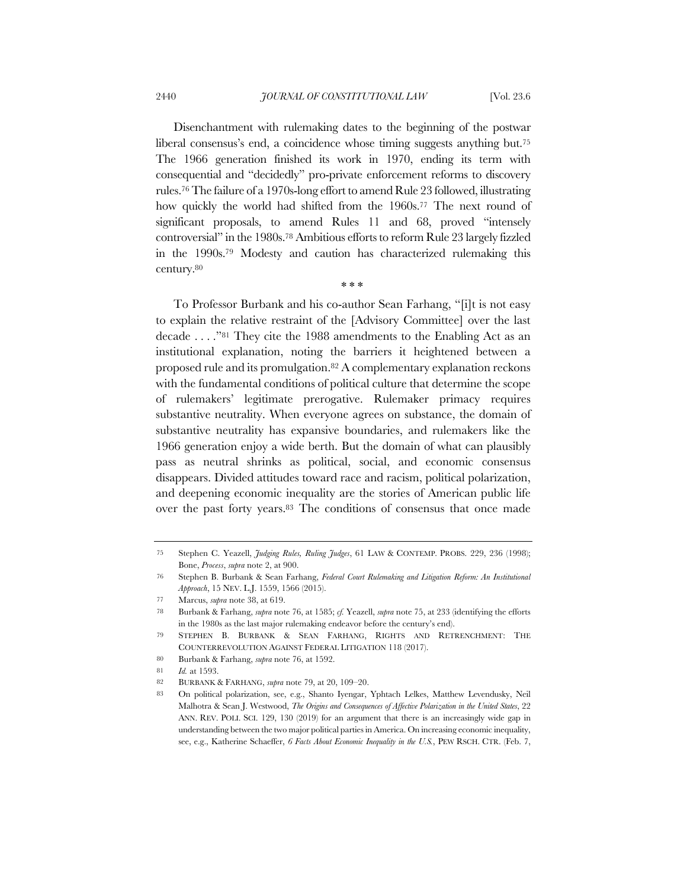Disenchantment with rulemaking dates to the beginning of the postwar liberal consensus's end, a coincidence whose timing suggests anything but.75 The 1966 generation finished its work in 1970, ending its term with consequential and "decidedly" pro-private enforcement reforms to discovery rules.76 The failure of a 1970s-long effort to amend Rule 23 followed, illustrating how quickly the world had shifted from the 1960s.<sup>77</sup> The next round of significant proposals, to amend Rules 11 and 68, proved "intensely controversial" in the 1980s.78 Ambitious efforts to reform Rule 23 largely fizzled in the 1990s.79 Modesty and caution has characterized rulemaking this century.80

\* \* \*

To Professor Burbank and his co-author Sean Farhang, "[i]t is not easy to explain the relative restraint of the [Advisory Committee] over the last decade . . . ."81 They cite the 1988 amendments to the Enabling Act as an institutional explanation, noting the barriers it heightened between a proposed rule and its promulgation.82 A complementary explanation reckons with the fundamental conditions of political culture that determine the scope of rulemakers' legitimate prerogative. Rulemaker primacy requires substantive neutrality. When everyone agrees on substance, the domain of substantive neutrality has expansive boundaries, and rulemakers like the 1966 generation enjoy a wide berth. But the domain of what can plausibly pass as neutral shrinks as political, social, and economic consensus disappears. Divided attitudes toward race and racism, political polarization, and deepening economic inequality are the stories of American public life over the past forty years.83 The conditions of consensus that once made

<sup>75</sup> Stephen C. Yeazell, *Judging Rules, Ruling Judges*, 61 LAW & CONTEMP. PROBS. 229, 236 (1998); Bone, *Process*, *supra* note 2, at 900.

<sup>76</sup> Stephen B. Burbank & Sean Farhang, *Federal Court Rulemaking and Litigation Reform: An Institutional Approach*, 15 NEV. L.J. 1559, 1566 (2015).

<sup>77</sup> Marcus, *supra* note 38, at 619.

<sup>78</sup> Burbank & Farhang, *supra* note 76, at 1585; *cf.* Yeazell, *supra* note 75, at 233 (identifying the efforts in the 1980s as the last major rulemaking endeavor before the century's end).

<sup>79</sup> STEPHEN B. BURBANK & SEAN FARHANG, RIGHTS AND RETRENCHMENT: THE COUNTERREVOLUTION AGAINST FEDERAL LITIGATION 118 (2017).

<sup>80</sup> Burbank & Farhang, *supra* note 76, at 1592.

<sup>81</sup> *Id.* at 1593.

<sup>82</sup> BURBANK & FARHANG, *supra* note 79, at 20, 109–20.

<sup>83</sup> On political polarization, see, e.g., Shanto Iyengar, Yphtach Lelkes, Matthew Levendusky, Neil Malhotra & Sean J. Westwood, *The Origins and Consequences of Affective Polarization in the United States*, 22 ANN. REV. POLI. SCI. 129, 130 (2019) for an argument that there is an increasingly wide gap in understanding between the two major political parties in America. On increasing economic inequality, see, e.g., Katherine Schaeffer, *6 Facts About Economic Inequality in the U.S.*, PEW RSCH. CTR. (Feb. 7,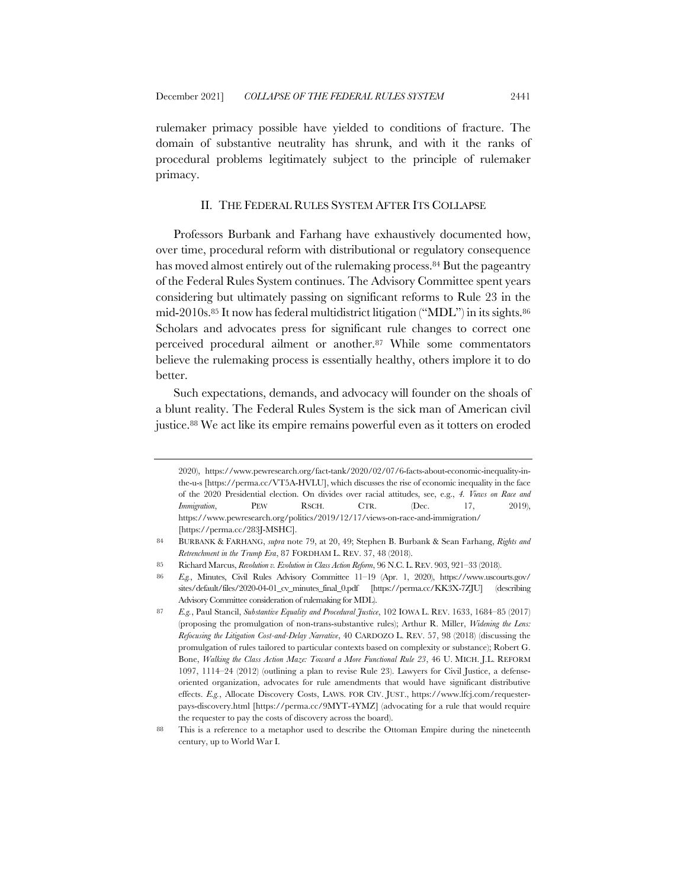rulemaker primacy possible have yielded to conditions of fracture. The domain of substantive neutrality has shrunk, and with it the ranks of procedural problems legitimately subject to the principle of rulemaker primacy.

### II. THE FEDERAL RULES SYSTEM AFTER ITS COLLAPSE

Professors Burbank and Farhang have exhaustively documented how, over time, procedural reform with distributional or regulatory consequence has moved almost entirely out of the rulemaking process.<sup>84</sup> But the pageantry of the Federal Rules System continues. The Advisory Committee spent years considering but ultimately passing on significant reforms to Rule 23 in the mid-2010s.85 It now has federal multidistrict litigation ("MDL") in its sights.86 Scholars and advocates press for significant rule changes to correct one perceived procedural ailment or another.87 While some commentators believe the rulemaking process is essentially healthy, others implore it to do better.

Such expectations, demands, and advocacy will founder on the shoals of a blunt reality. The Federal Rules System is the sick man of American civil justice.88 We act like its empire remains powerful even as it totters on eroded

<sup>2020),</sup> https://www.pewresearch.org/fact-tank/2020/02/07/6-facts-about-economic-inequality-inthe-u-s [https://perma.cc/VT5A-HVLU], which discusses the rise of economic inequality in the face of the 2020 Presidential election. On divides over racial attitudes, see, e.g., *4. Views on Race and Immigration*, PEW RSCH. CTR. (Dec. 17, 2019), https://www.pewresearch.org/politics/2019/12/17/views-on-race-and-immigration/ [https://perma.cc/283J-MSHC].

<sup>84</sup> BURBANK & FARHANG, *supra* note 79, at 20, 49; Stephen B. Burbank & Sean Farhang, *Rights and Retrenchment in the Trump Era*, 87 FORDHAM L. REV. 37, 48 (2018).

<sup>85</sup> Richard Marcus, *Revolution v. Evolution in Class Action Reform*, 96 N.C. L. REV. 903, 921–33 (2018).

<sup>86</sup> *E.g.*, Minutes, Civil Rules Advisory Committee 11–19 (Apr. 1, 2020), https://www.uscourts.gov/ sites/default/files/2020-04-01\_cv\_minutes\_final\_0.pdf [https://perma.cc/KK3X-7ZJU] (describing Advisory Committee consideration of rulemaking for MDL).

<sup>87</sup> *E.g.*, Paul Stancil, *Substantive Equality and Procedural Justice*, 102 IOWA L. REV. 1633, 1684–85 (2017) (proposing the promulgation of non-trans-substantive rules); Arthur R. Miller, *Widening the Lens: Refocusing the Litigation Cost-and-Delay Narrative*, 40 CARDOZO L. REV. 57, 98 (2018) (discussing the promulgation of rules tailored to particular contexts based on complexity or substance); Robert G. Bone, *Walking the Class Action Maze: Toward a More Functional Rule 23*, 46 U. MICH. J.L. REFORM 1097, 1114–24 (2012) (outlining a plan to revise Rule 23). Lawyers for Civil Justice, a defenseoriented organization, advocates for rule amendments that would have significant distributive effects. *E.g.*, Allocate Discovery Costs, LAWS. FOR CIV. JUST., https://www.lfcj.com/requesterpays-discovery.html [https://perma.cc/9MYT-4YMZ] (advocating for a rule that would require the requester to pay the costs of discovery across the board).

<sup>88</sup> This is a reference to a metaphor used to describe the Ottoman Empire during the nineteenth century, up to World War I.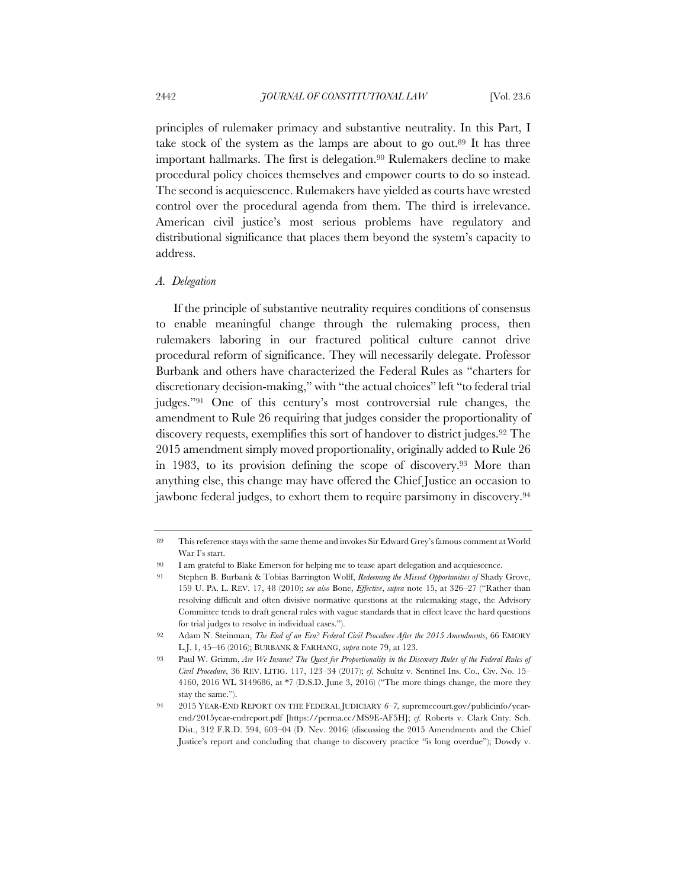principles of rulemaker primacy and substantive neutrality. In this Part, I take stock of the system as the lamps are about to go out.89 It has three important hallmarks. The first is delegation.<sup>90</sup> Rulemakers decline to make procedural policy choices themselves and empower courts to do so instead. The second is acquiescence. Rulemakers have yielded as courts have wrested control over the procedural agenda from them. The third is irrelevance. American civil justice's most serious problems have regulatory and distributional significance that places them beyond the system's capacity to address.

### *A. Delegation*

If the principle of substantive neutrality requires conditions of consensus to enable meaningful change through the rulemaking process, then rulemakers laboring in our fractured political culture cannot drive procedural reform of significance. They will necessarily delegate. Professor Burbank and others have characterized the Federal Rules as "charters for discretionary decision-making," with "the actual choices" left "to federal trial judges."91 One of this century's most controversial rule changes, the amendment to Rule 26 requiring that judges consider the proportionality of discovery requests, exemplifies this sort of handover to district judges.92 The 2015 amendment simply moved proportionality, originally added to Rule 26 in 1983, to its provision defining the scope of discovery.93 More than anything else, this change may have offered the Chief Justice an occasion to jawbone federal judges, to exhort them to require parsimony in discovery.94

<sup>89</sup> This reference stays with the same theme and invokes Sir Edward Grey's famous comment at World War I's start.

<sup>90</sup> I am grateful to Blake Emerson for helping me to tease apart delegation and acquiescence.

<sup>91</sup> Stephen B. Burbank & Tobias Barrington Wolff, *Redeeming the Missed Opportunities of* Shady Grove, 159 U. PA. L. REV. 17, 48 (2010); *see also* Bone, *Effective*, *supra* note 15, at 326–27 ("Rather than resolving difficult and often divisive normative questions at the rulemaking stage, the Advisory Committee tends to draft general rules with vague standards that in effect leave the hard questions for trial judges to resolve in individual cases.").

<sup>92</sup> Adam N. Steinman, *The End of an Era? Federal Civil Procedure After the 2015 Amendments*, 66 EMORY L.J. 1, 45–46 (2016); BURBANK & FARHANG, *supra* note 79, at 123.

<sup>93</sup> Paul W. Grimm, *Are We Insane? The Quest for Proportionality in the Discovery Rules of the Federal Rules of Civil Procedure*, 36 REV. LITIG. 117, 123–34 (2017); *cf.* Schultz v. Sentinel Ins. Co., Civ. No. 15– 4160, 2016 WL 3149686, at \*7 (D.S.D. June 3, 2016) ("The more things change, the more they stay the same.").

<sup>94</sup> 2015 YEAR-END REPORT ON THE FEDERAL JUDICIARY *6–7,* supremecourt.gov/publicinfo/yearend/2015year-endreport.pdf [https://perma.cc/MS9E-AF5H]; *cf.* Roberts v. Clark Cnty. Sch. Dist., 312 F.R.D. 594, 603-04 (D. Nev. 2016) (discussing the 2015 Amendments and the Chief Justice's report and concluding that change to discovery practice "is long overdue"); Dowdy v.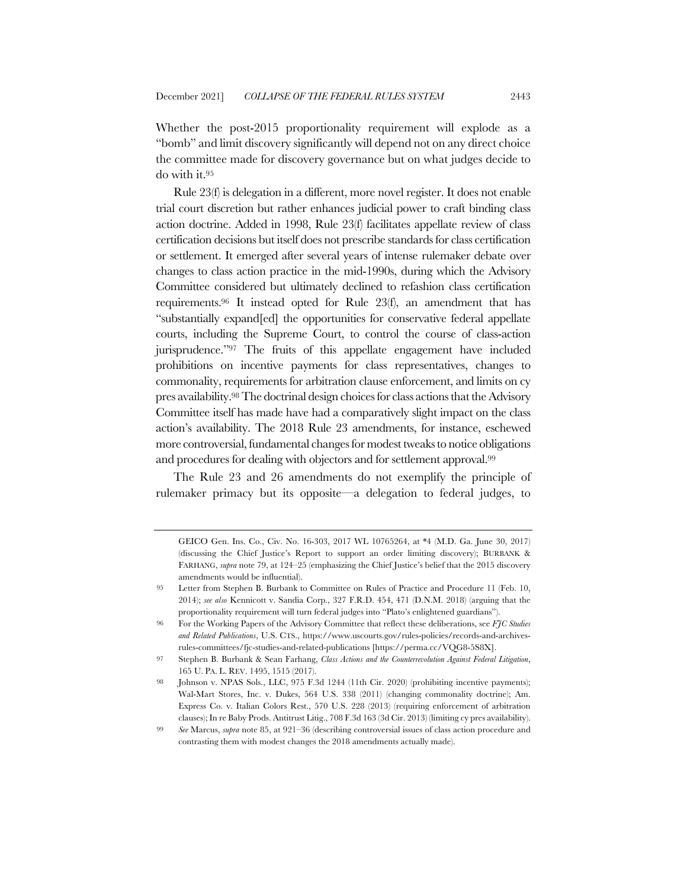Whether the post-2015 proportionality requirement will explode as a "bomb" and limit discovery significantly will depend not on any direct choice the committee made for discovery governance but on what judges decide to do with it.95

Rule 23(f) is delegation in a different, more novel register. It does not enable trial court discretion but rather enhances judicial power to craft binding class action doctrine. Added in 1998, Rule 23(f) facilitates appellate review of class certification decisions but itself does not prescribe standards for class certification or settlement. It emerged after several years of intense rulemaker debate over changes to class action practice in the mid-1990s, during which the Advisory Committee considered but ultimately declined to refashion class certification requirements.96 It instead opted for Rule 23(f), an amendment that has "substantially expand[ed] the opportunities for conservative federal appellate courts, including the Supreme Court, to control the course of class-action jurisprudence."97 The fruits of this appellate engagement have included prohibitions on incentive payments for class representatives, changes to commonality, requirements for arbitration clause enforcement, and limits on cy pres availability.98 The doctrinal design choices for class actions that the Advisory Committee itself has made have had a comparatively slight impact on the class action's availability. The 2018 Rule 23 amendments, for instance, eschewed more controversial, fundamental changes for modest tweaks to notice obligations and procedures for dealing with objectors and for settlement approval.99

The Rule 23 and 26 amendments do not exemplify the principle of rulemaker primacy but its opposite—a delegation to federal judges, to

GEICO Gen. Ins. Co., Civ. No. 16-303, 2017 WL 10765264, at \*4 (M.D. Ga. June 30, 2017) (discussing the Chief Justice's Report to support an order limiting discovery); BURBANK & FARHANG, *supra* note 79, at 124–25 (emphasizing the Chief Justice's belief that the 2015 discovery amendments would be influential).

<sup>95</sup> Letter from Stephen B. Burbank to Committee on Rules of Practice and Procedure 11 (Feb. 10, 2014); *see also* Kennicott v. Sandia Corp., 327 F.R.D. 454, 471 (D.N.M. 2018) (arguing that the proportionality requirement will turn federal judges into "Plato's enlightened guardians").

<sup>96</sup> For the Working Papers of the Advisory Committee that reflect these deliberations, see *FJC Studies and Related Publications*, U.S. CTS., https://www.uscourts.gov/rules-policies/records-and-archivesrules-committees/fjc-studies-and-related-publications [https://perma.cc/VQG8-5S8X].

<sup>97</sup> Stephen B. Burbank & Sean Farhang, *Class Actions and the Counterrevolution Against Federal Litigation*, 165 U. PA. L. REV. 1495, 1515 (2017).

<sup>98</sup> Johnson v. NPAS Sols., LLC, 975 F.3d 1244 (11th Cir. 2020) (prohibiting incentive payments); Wal-Mart Stores, Inc. v. Dukes, 564 U.S. 338 (2011) (changing commonality doctrine); Am. Express Co. v. Italian Colors Rest., 570 U.S. 228 (2013) (requiring enforcement of arbitration clauses); In re Baby Prods. Antitrust Litig., 708 F.3d 163 (3d Cir. 2013) (limiting cy pres availability).

<sup>99</sup> *See* Marcus, *supra* note 85, at 921–36 (describing controversial issues of class action procedure and contrasting them with modest changes the 2018 amendments actually made).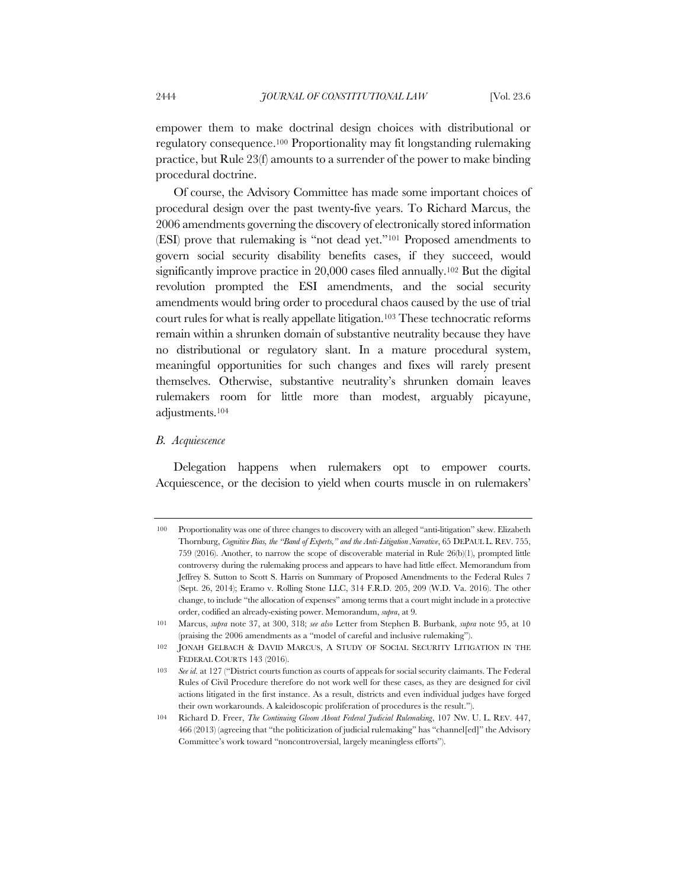empower them to make doctrinal design choices with distributional or regulatory consequence.100 Proportionality may fit longstanding rulemaking practice, but Rule 23(f) amounts to a surrender of the power to make binding procedural doctrine.

Of course, the Advisory Committee has made some important choices of procedural design over the past twenty-five years. To Richard Marcus, the 2006 amendments governing the discovery of electronically stored information (ESI) prove that rulemaking is "not dead yet."101 Proposed amendments to govern social security disability benefits cases, if they succeed, would significantly improve practice in 20,000 cases filed annually.<sup>102</sup> But the digital revolution prompted the ESI amendments, and the social security amendments would bring order to procedural chaos caused by the use of trial court rules for what is really appellate litigation.103 These technocratic reforms remain within a shrunken domain of substantive neutrality because they have no distributional or regulatory slant. In a mature procedural system, meaningful opportunities for such changes and fixes will rarely present themselves. Otherwise, substantive neutrality's shrunken domain leaves rulemakers room for little more than modest, arguably picayune, adjustments.104

### *B. Acquiescence*

Delegation happens when rulemakers opt to empower courts. Acquiescence, or the decision to yield when courts muscle in on rulemakers'

<sup>100</sup> Proportionality was one of three changes to discovery with an alleged "anti-litigation" skew. Elizabeth Thornburg, *Cognitive Bias, the "Band of Experts," and the Anti-Litigation Narrative*, 65 DEPAUL L. REV. 755, 759 (2016). Another, to narrow the scope of discoverable material in Rule 26(b)(1), prompted little controversy during the rulemaking process and appears to have had little effect. Memorandum from Jeffrey S. Sutton to Scott S. Harris on Summary of Proposed Amendments to the Federal Rules 7 (Sept. 26, 2014); Eramo v. Rolling Stone LLC, 314 F.R.D. 205, 209 (W.D. Va. 2016). The other change, to include "the allocation of expenses" among terms that a court might include in a protective order, codified an already-existing power. Memorandum, *supra*, at 9.

<sup>101</sup> Marcus, *supra* note 37, at 300, 318; *see also* Letter from Stephen B. Burbank, *supra* note 95, at 10 (praising the 2006 amendments as a "model of careful and inclusive rulemaking").

<sup>102</sup> JONAH GELBACH & DAVID MARCUS, A STUDY OF SOCIAL SECURITY LITIGATION IN THE FEDERAL COURTS 143 (2016).

<sup>103</sup> *See id.* at 127 ("District courts function as courts of appeals for social security claimants. The Federal Rules of Civil Procedure therefore do not work well for these cases, as they are designed for civil actions litigated in the first instance. As a result, districts and even individual judges have forged their own workarounds. A kaleidoscopic proliferation of procedures is the result.").

<sup>104</sup> Richard D. Freer, *The Continuing Gloom About Federal Judicial Rulemaking*, 107 NW. U. L. REV. 447, 466 (2013) (agreeing that "the politicization of judicial rulemaking" has "channel[ed]" the Advisory Committee's work toward "noncontroversial, largely meaningless efforts").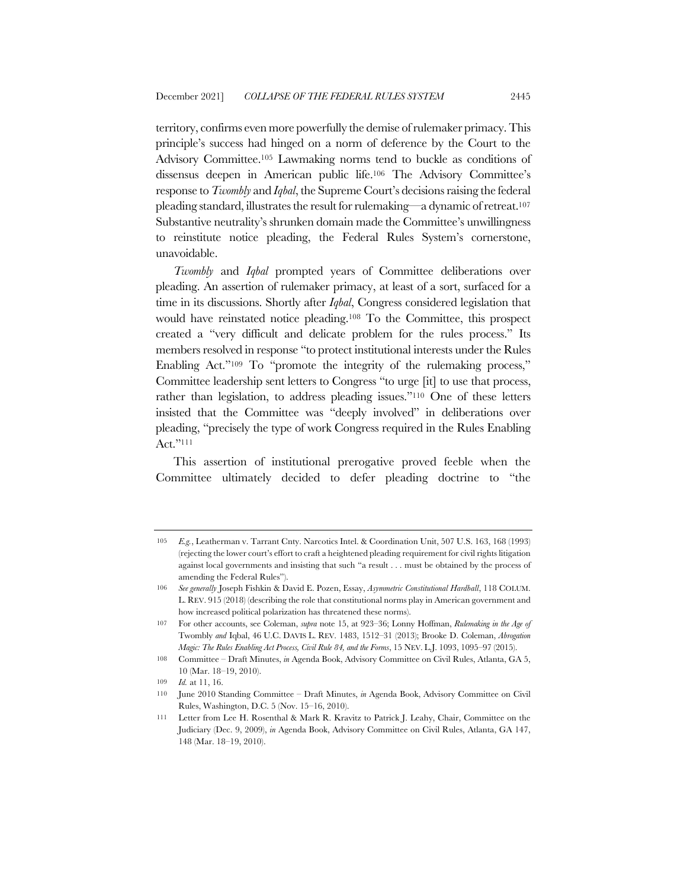territory, confirms even more powerfully the demise of rulemaker primacy. This principle's success had hinged on a norm of deference by the Court to the Advisory Committee.105 Lawmaking norms tend to buckle as conditions of dissensus deepen in American public life.106 The Advisory Committee's response to *Twombly* and *Iqbal*, the Supreme Court's decisions raising the federal pleading standard, illustrates the result for rulemaking—a dynamic of retreat.107 Substantive neutrality's shrunken domain made the Committee's unwillingness to reinstitute notice pleading, the Federal Rules System's cornerstone, unavoidable.

*Twombly* and *Iqbal* prompted years of Committee deliberations over pleading. An assertion of rulemaker primacy, at least of a sort, surfaced for a time in its discussions. Shortly after *Iqbal*, Congress considered legislation that would have reinstated notice pleading.108 To the Committee, this prospect created a "very difficult and delicate problem for the rules process." Its members resolved in response "to protect institutional interests under the Rules Enabling Act."<sup>109</sup> To "promote the integrity of the rulemaking process," Committee leadership sent letters to Congress "to urge [it] to use that process, rather than legislation, to address pleading issues."110 One of these letters insisted that the Committee was "deeply involved" in deliberations over pleading, "precisely the type of work Congress required in the Rules Enabling Act."111

This assertion of institutional prerogative proved feeble when the Committee ultimately decided to defer pleading doctrine to "the

<sup>105</sup> *E.g.*, Leatherman v. Tarrant Cnty. Narcotics Intel. & Coordination Unit, 507 U.S. 163, 168 (1993) (rejecting the lower court's effort to craft a heightened pleading requirement for civil rights litigation against local governments and insisting that such "a result . . . must be obtained by the process of amending the Federal Rules").

<sup>106</sup> *See generally* Joseph Fishkin & David E. Pozen, Essay, *Asymmetric Constitutional Hardball*, 118 COLUM. L. REV. 915 (2018) (describing the role that constitutional norms play in American government and how increased political polarization has threatened these norms).

<sup>107</sup> For other accounts, see Coleman, *supra* note 15, at 923–36; Lonny Hoffman, *Rulemaking in the Age of*  Twombly *and* Iqbal, 46 U.C. DAVIS L. REV. 1483, 1512–31 (2013); Brooke D. Coleman, *Abrogation Magic: The Rules Enabling Act Process, Civil Rule 84, and the Forms*, 15 NEV. L.J. 1093, 1095–97 (2015).

<sup>108</sup> Committee – Draft Minutes, *in* Agenda Book, Advisory Committee on Civil Rules, Atlanta, GA 5, 10 (Mar. 18–19, 2010).

<sup>109</sup> *Id.* at 11, 16.

<sup>110</sup> June 2010 Standing Committee – Draft Minutes, *in* Agenda Book, Advisory Committee on Civil Rules, Washington, D.C. 5 (Nov. 15–16, 2010).

<sup>111</sup> Letter from Lee H. Rosenthal & Mark R. Kravitz to Patrick J. Leahy, Chair, Committee on the Judiciary (Dec. 9, 2009), *in* Agenda Book, Advisory Committee on Civil Rules, Atlanta, GA 147, 148 (Mar. 18–19, 2010).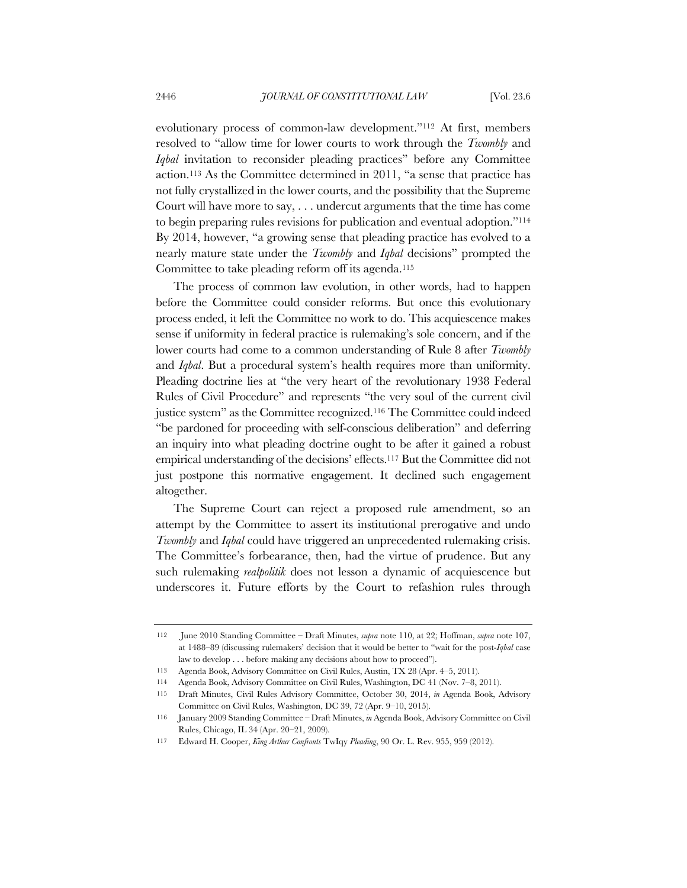evolutionary process of common-law development."112 At first, members resolved to "allow time for lower courts to work through the *Twombly* and *Iqbal* invitation to reconsider pleading practices" before any Committee action.113 As the Committee determined in 2011, "a sense that practice has not fully crystallized in the lower courts, and the possibility that the Supreme Court will have more to say, . . . undercut arguments that the time has come to begin preparing rules revisions for publication and eventual adoption."114 By 2014, however, "a growing sense that pleading practice has evolved to a nearly mature state under the *Twombly* and *Iqbal* decisions" prompted the Committee to take pleading reform off its agenda.115

The process of common law evolution, in other words, had to happen before the Committee could consider reforms. But once this evolutionary process ended, it left the Committee no work to do. This acquiescence makes sense if uniformity in federal practice is rulemaking's sole concern, and if the lower courts had come to a common understanding of Rule 8 after *Twombly* and *Iqbal*. But a procedural system's health requires more than uniformity. Pleading doctrine lies at "the very heart of the revolutionary 1938 Federal Rules of Civil Procedure" and represents "the very soul of the current civil justice system" as the Committee recognized.116 The Committee could indeed "be pardoned for proceeding with self-conscious deliberation" and deferring an inquiry into what pleading doctrine ought to be after it gained a robust empirical understanding of the decisions' effects.117 But the Committee did not just postpone this normative engagement. It declined such engagement altogether.

The Supreme Court can reject a proposed rule amendment, so an attempt by the Committee to assert its institutional prerogative and undo *Twombly* and *Iqbal* could have triggered an unprecedented rulemaking crisis. The Committee's forbearance, then, had the virtue of prudence. But any such rulemaking *realpolitik* does not lesson a dynamic of acquiescence but underscores it. Future efforts by the Court to refashion rules through

<sup>112</sup> June 2010 Standing Committee – Draft Minutes, *supra* note 110, at 22; Hoffman, *supra* note 107, at 1488–89 (discussing rulemakers' decision that it would be better to "wait for the post-*Iqbal* case law to develop . . . before making any decisions about how to proceed").

<sup>113</sup> Agenda Book, Advisory Committee on Civil Rules, Austin, TX 28 (Apr. 4–5, 2011).

<sup>114</sup> Agenda Book, Advisory Committee on Civil Rules, Washington, DC 41 (Nov. 7–8, 2011).

<sup>115</sup> Draft Minutes, Civil Rules Advisory Committee, October 30, 2014, *in* Agenda Book, Advisory Committee on Civil Rules, Washington, DC 39, 72 (Apr. 9–10, 2015).

<sup>116</sup> January 2009 Standing Committee – Draft Minutes, *in* Agenda Book, Advisory Committee on Civil Rules, Chicago, IL 34 (Apr. 20–21, 2009).

<sup>117</sup> Edward H. Cooper, *King Arthur Confronts* TwIqy *Pleading*, 90 Or. L. Rev. 955, 959 (2012).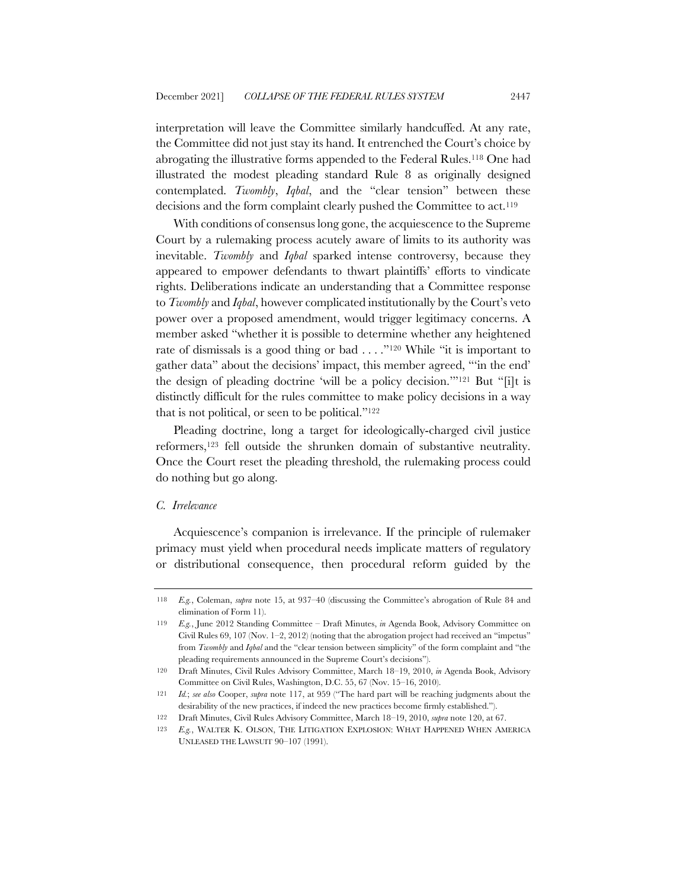interpretation will leave the Committee similarly handcuffed. At any rate, the Committee did not just stay its hand. It entrenched the Court's choice by abrogating the illustrative forms appended to the Federal Rules.118 One had illustrated the modest pleading standard Rule 8 as originally designed contemplated. *Twombly*, *Iqbal*, and the "clear tension" between these decisions and the form complaint clearly pushed the Committee to act.119

With conditions of consensus long gone, the acquiescence to the Supreme Court by a rulemaking process acutely aware of limits to its authority was inevitable. *Twombly* and *Iqbal* sparked intense controversy, because they appeared to empower defendants to thwart plaintiffs' efforts to vindicate rights. Deliberations indicate an understanding that a Committee response to *Twombly* and *Iqbal*, however complicated institutionally by the Court's veto power over a proposed amendment, would trigger legitimacy concerns. A member asked "whether it is possible to determine whether any heightened rate of dismissals is a good thing or bad . . . ."120 While "it is important to gather data" about the decisions' impact, this member agreed, "'in the end' the design of pleading doctrine 'will be a policy decision.'"121 But "[i]t is distinctly difficult for the rules committee to make policy decisions in a way that is not political, or seen to be political."122

Pleading doctrine, long a target for ideologically-charged civil justice reformers,123 fell outside the shrunken domain of substantive neutrality. Once the Court reset the pleading threshold, the rulemaking process could do nothing but go along.

## *C. Irrelevance*

Acquiescence's companion is irrelevance. If the principle of rulemaker primacy must yield when procedural needs implicate matters of regulatory or distributional consequence, then procedural reform guided by the

<sup>118</sup> *E.g.*, Coleman, *supra* note 15, at 937–40 (discussing the Committee's abrogation of Rule 84 and elimination of Form 11).

<sup>119</sup> *E.g.*, June 2012 Standing Committee – Draft Minutes, *in* Agenda Book, Advisory Committee on Civil Rules 69, 107 (Nov. 1–2, 2012) (noting that the abrogation project had received an "impetus" from *Twombly* and *Iqbal* and the "clear tension between simplicity" of the form complaint and "the pleading requirements announced in the Supreme Court's decisions").

<sup>120</sup> Draft Minutes, Civil Rules Advisory Committee, March 18–19, 2010, *in* Agenda Book, Advisory Committee on Civil Rules, Washington, D.C. 55, 67 (Nov. 15–16, 2010).

<sup>121</sup> *Id.*; *see also* Cooper, *supra* note 117, at 959 ("The hard part will be reaching judgments about the desirability of the new practices, if indeed the new practices become firmly established.").

<sup>122</sup> Draft Minutes, Civil Rules Advisory Committee, March 18–19, 2010, *supra* note 120, at 67.

<sup>123</sup> *E.g.*, WALTER K. OLSON, THE LITIGATION EXPLOSION: WHAT HAPPENED WHEN AMERICA UNLEASED THE LAWSUIT 90–107 (1991).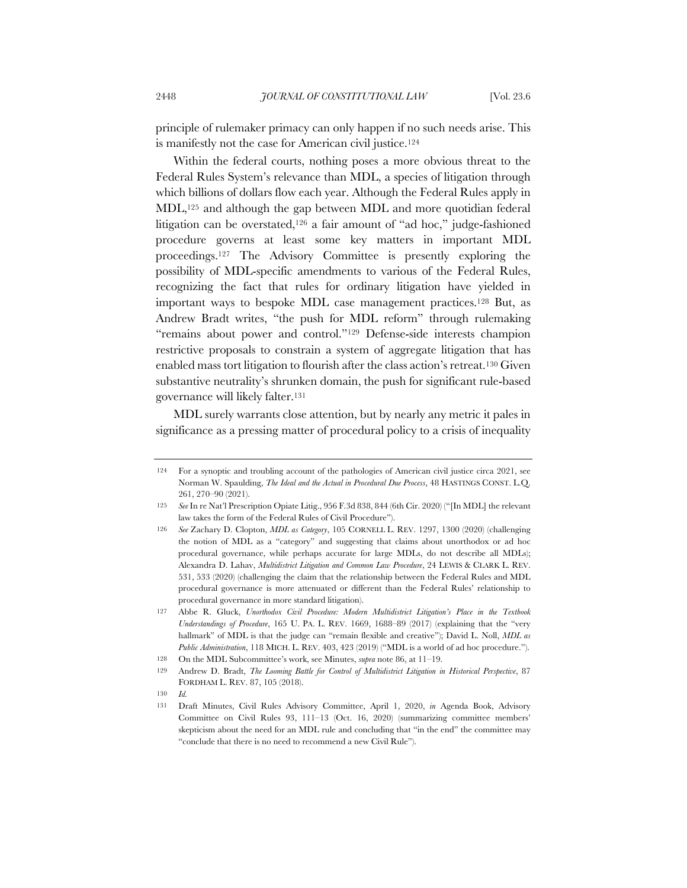principle of rulemaker primacy can only happen if no such needs arise. This is manifestly not the case for American civil justice.124

Within the federal courts, nothing poses a more obvious threat to the Federal Rules System's relevance than MDL, a species of litigation through which billions of dollars flow each year. Although the Federal Rules apply in MDL,125 and although the gap between MDL and more quotidian federal litigation can be overstated,126 a fair amount of "ad hoc," judge-fashioned procedure governs at least some key matters in important MDL proceedings.127 The Advisory Committee is presently exploring the possibility of MDL-specific amendments to various of the Federal Rules, recognizing the fact that rules for ordinary litigation have yielded in important ways to bespoke MDL case management practices.128 But, as Andrew Bradt writes, "the push for MDL reform" through rulemaking "remains about power and control."129 Defense-side interests champion restrictive proposals to constrain a system of aggregate litigation that has enabled mass tort litigation to flourish after the class action's retreat.130 Given substantive neutrality's shrunken domain, the push for significant rule-based governance will likely falter.131

MDL surely warrants close attention, but by nearly any metric it pales in significance as a pressing matter of procedural policy to a crisis of inequality

<sup>124</sup> For a synoptic and troubling account of the pathologies of American civil justice circa 2021, see Norman W. Spaulding, *The Ideal and the Actual in Procedural Due Process*, 48 HASTINGS CONST. L.Q. 261, 270–90 (2021).

<sup>125</sup> *See* In re Nat'l Prescription Opiate Litig., 956 F.3d 838, 844 (6th Cir. 2020) ("[In MDL] the relevant law takes the form of the Federal Rules of Civil Procedure").

<sup>126</sup> *See* Zachary D. Clopton, *MDL as Category*, 105 CORNELL L. REV. 1297, 1300 (2020) (challenging the notion of MDL as a "category" and suggesting that claims about unorthodox or ad hoc procedural governance, while perhaps accurate for large MDLs, do not describe all MDLs); Alexandra D. Lahav, *Multidistrict Litigation and Common Law Procedure*, 24 LEWIS & CLARK L. REV. 531, 533 (2020) (challenging the claim that the relationship between the Federal Rules and MDL procedural governance is more attenuated or different than the Federal Rules' relationship to procedural governance in more standard litigation).

<sup>127</sup> Abbe R. Gluck, *Unorthodox Civil Procedure: Modern Multidistrict Litigation's Place in the Textbook Understandings of Procedure*, 165 U. PA. L. REV. 1669, 1688–89 (2017) (explaining that the "very hallmark" of MDL is that the judge can "remain flexible and creative"); David L. Noll, *MDL as Public Administration*, 118 MICH. L. REV. 403, 423 (2019) ("MDL is a world of ad hoc procedure.").

<sup>128</sup> On the MDL Subcommittee's work, see Minutes, *supra* note 86, at 11–19.

<sup>129</sup> Andrew D. Bradt, *The Looming Battle for Control of Multidistrict Litigation in Historical Perspective*, 87 FORDHAM L. REV. 87, 105 (2018).

<sup>130</sup> *Id.*

<sup>131</sup> Draft Minutes, Civil Rules Advisory Committee, April 1, 2020, *in* Agenda Book, Advisory Committee on Civil Rules 93, 111–13 (Oct. 16, 2020) (summarizing committee members' skepticism about the need for an MDL rule and concluding that "in the end" the committee may "conclude that there is no need to recommend a new Civil Rule").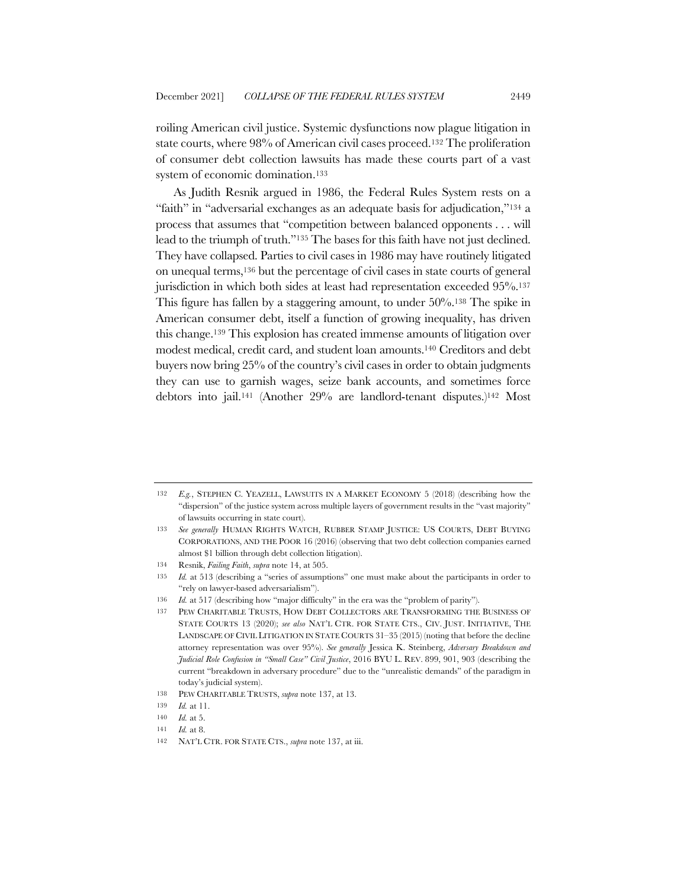roiling American civil justice. Systemic dysfunctions now plague litigation in state courts, where 98% of American civil cases proceed.132 The proliferation of consumer debt collection lawsuits has made these courts part of a vast system of economic domination.<sup>133</sup>

As Judith Resnik argued in 1986, the Federal Rules System rests on a "faith" in "adversarial exchanges as an adequate basis for adjudication,"134 a process that assumes that "competition between balanced opponents . . . will lead to the triumph of truth."135 The bases for this faith have not just declined. They have collapsed. Parties to civil cases in 1986 may have routinely litigated on unequal terms,136 but the percentage of civil cases in state courts of general jurisdiction in which both sides at least had representation exceeded  $95\%$ .<sup>137</sup> This figure has fallen by a staggering amount, to under 50%.138 The spike in American consumer debt, itself a function of growing inequality, has driven this change.139 This explosion has created immense amounts of litigation over modest medical, credit card, and student loan amounts.140 Creditors and debt buyers now bring 25% of the country's civil cases in order to obtain judgments they can use to garnish wages, seize bank accounts, and sometimes force debtors into jail.141 (Another 29% are landlord-tenant disputes.)142 Most

<sup>132</sup> *E.g.*, STEPHEN C. YEAZELL, LAWSUITS IN A MARKET ECONOMY 5 (2018) (describing how the "dispersion" of the justice system across multiple layers of government results in the "vast majority" of lawsuits occurring in state court).

<sup>133</sup> *See generally* HUMAN RIGHTS WATCH, RUBBER STAMP JUSTICE: US COURTS, DEBT BUYING CORPORATIONS, AND THE POOR 16 (2016) (observing that two debt collection companies earned almost \$1 billion through debt collection litigation).

<sup>134</sup> Resnik, *Failing Faith*, *supra* note 14, at 505.

<sup>135</sup> *Id.* at 513 (describing a "series of assumptions" one must make about the participants in order to "rely on lawyer-based adversarialism").

<sup>136</sup> *Id.* at 517 (describing how "major difficulty" in the era was the "problem of parity").

<sup>137</sup> PEW CHARITABLE TRUSTS, HOW DEBT COLLECTORS ARE TRANSFORMING THE BUSINESS OF STATE COURTS 13 (2020); *see also* NAT'L CTR. FOR STATE CTS., CIV. JUST. INITIATIVE, THE LANDSCAPE OF CIVIL LITIGATION IN STATE COURTS 31–35 (2015) (noting that before the decline attorney representation was over 95%). *See generally* Jessica K. Steinberg, *Adversary Breakdown and Judicial Role Confusion in "Small Case" Civil Justice*, 2016 BYU L. REV. 899, 901, 903 (describing the current "breakdown in adversary procedure" due to the "unrealistic demands" of the paradigm in today's judicial system).

<sup>138</sup> PEW CHARITABLE TRUSTS, *supra* note 137, at 13.

<sup>139</sup> *Id.* at 11.

<sup>140</sup> *Id.* at 5.

<sup>141</sup> *Id.* at 8.

<sup>142</sup> NAT'L CTR. FOR STATE CTS., *supra* note 137, at iii.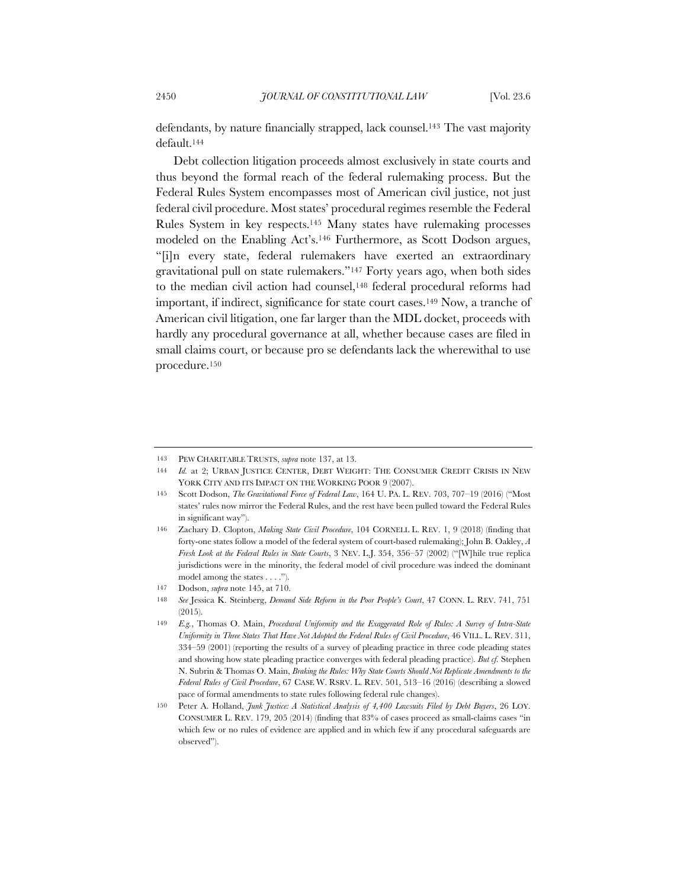defendants, by nature financially strapped, lack counsel.143 The vast majority default.144

Debt collection litigation proceeds almost exclusively in state courts and thus beyond the formal reach of the federal rulemaking process. But the Federal Rules System encompasses most of American civil justice, not just federal civil procedure. Most states' procedural regimes resemble the Federal Rules System in key respects.145 Many states have rulemaking processes modeled on the Enabling Act's.146 Furthermore, as Scott Dodson argues, "[i]n every state, federal rulemakers have exerted an extraordinary gravitational pull on state rulemakers."147 Forty years ago, when both sides to the median civil action had counsel,148 federal procedural reforms had important, if indirect, significance for state court cases.149 Now, a tranche of American civil litigation, one far larger than the MDL docket, proceeds with hardly any procedural governance at all, whether because cases are filed in small claims court, or because pro se defendants lack the wherewithal to use procedure.150

<sup>143</sup> PEW CHARITABLE TRUSTS, *supra* note 137, at 13.

<sup>144</sup> *Id.* at 2; URBAN JUSTICE CENTER, DEBT WEIGHT: THE CONSUMER CREDIT CRISIS IN NEW YORK CITY AND ITS IMPACT ON THE WORKING POOR 9 (2007).

<sup>145</sup> Scott Dodson, *The Gravitational Force of Federal Law*, 164 U. PA. L. REV. 703, 707–19 (2016) ("Most states' rules now mirror the Federal Rules, and the rest have been pulled toward the Federal Rules in significant way").

<sup>146</sup> Zachary D. Clopton, *Making State Civil Procedure*, 104 CORNELL L. REV. 1, 9 (2018) (finding that forty-one states follow a model of the federal system of court-based rulemaking); John B. Oakley, *A Fresh Look at the Federal Rules in State Courts*, 3 NEV. L.J. 354, 356–57 (2002) ("[W]hile true replica jurisdictions were in the minority, the federal model of civil procedure was indeed the dominant model among the states . . . .").

<sup>147</sup> Dodson, *supra* note 145, at 710.

<sup>148</sup> *See* Jessica K. Steinberg, *Demand Side Reform in the Poor People's Court*, 47 CONN. L. REV. 741, 751 (2015).

<sup>149</sup> *E.g.*, Thomas O. Main, *Procedural Uniformity and the Exaggerated Role of Rules: A Survey of Intra-State Uniformity in Three States That Have Not Adopted the Federal Rules of Civil Procedure*, 46 VILL. L. REV. 311, 334–59 (2001) (reporting the results of a survey of pleading practice in three code pleading states and showing how state pleading practice converges with federal pleading practice). *But cf.* Stephen N. Subrin & Thomas O. Main, *Braking the Rules: Why State Courts Should Not Replicate Amendments to the Federal Rules of Civil Procedure*, 67 CASE W. RSRV. L. REV. 501, 513–16 (2016) (describing a slowed pace of formal amendments to state rules following federal rule changes).

<sup>150</sup> Peter A. Holland, *Junk Justice: A Statistical Analysis of 4,400 Lawsuits Filed by Debt Buyers*, 26 LOY. CONSUMER L. REV. 179, 205 (2014) (finding that 83% of cases proceed as small-claims cases "in which few or no rules of evidence are applied and in which few if any procedural safeguards are observed").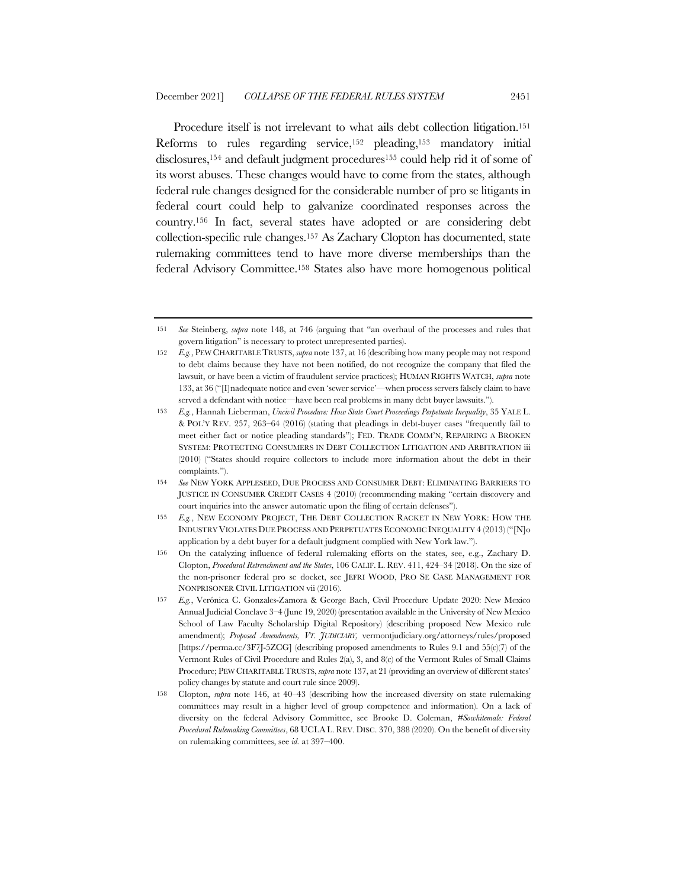Procedure itself is not irrelevant to what ails debt collection litigation.<sup>151</sup> Reforms to rules regarding service,152 pleading,153 mandatory initial disclosures,<sup>154</sup> and default judgment procedures<sup>155</sup> could help rid it of some of its worst abuses. These changes would have to come from the states, although federal rule changes designed for the considerable number of pro se litigants in federal court could help to galvanize coordinated responses across the country.156 In fact, several states have adopted or are considering debt collection-specific rule changes.157 As Zachary Clopton has documented, state rulemaking committees tend to have more diverse memberships than the federal Advisory Committee.158 States also have more homogenous political

<sup>151</sup> *See* Steinberg, *supra* note 148, at 746 (arguing that "an overhaul of the processes and rules that govern litigation" is necessary to protect unrepresented parties).

<sup>152</sup> *E.g.*, PEW CHARITABLE TRUSTS,*supra* note 137, at 16 (describing how many people may not respond to debt claims because they have not been notified, do not recognize the company that filed the lawsuit, or have been a victim of fraudulent service practices); HUMAN RIGHTS WATCH, *supra* note 133, at 36 ("[I]nadequate notice and even 'sewer service'—when process servers falsely claim to have served a defendant with notice—have been real problems in many debt buyer lawsuits.").

<sup>153</sup> *E.g.*, Hannah Lieberman, *Uncivil Procedure: How State Court Proceedings Perpetuate Inequality*, 35 YALE L. & POL'Y REV. 257, 263–64 (2016) (stating that pleadings in debt-buyer cases "frequently fail to meet either fact or notice pleading standards"); FED. TRADE COMM'N, REPAIRING A BROKEN SYSTEM: PROTECTING CONSUMERS IN DEBT COLLECTION LITIGATION AND ARBITRATION iii (2010) ("States should require collectors to include more information about the debt in their complaints.").

<sup>154</sup> *See* NEW YORK APPLESEED, DUE PROCESS AND CONSUMER DEBT: ELIMINATING BARRIERS TO JUSTICE IN CONSUMER CREDIT CASES 4 (2010) (recommending making "certain discovery and court inquiries into the answer automatic upon the filing of certain defenses").

<sup>155</sup> *E.g.*, NEW ECONOMY PROJECT, THE DEBT COLLECTION RACKET IN NEW YORK: HOW THE INDUSTRY VIOLATES DUE PROCESS AND PERPETUATES ECONOMIC INEQUALITY 4 (2013) ("[N]o application by a debt buyer for a default judgment complied with New York law.").

<sup>156</sup> On the catalyzing influence of federal rulemaking efforts on the states, see, e.g., Zachary D. Clopton, *Procedural Retrenchment and the States*, 106 CALIF. L. REV. 411, 424–34 (2018). On the size of the non-prisoner federal pro se docket, see JEFRI WOOD, PRO SE CASE MANAGEMENT FOR NONPRISONER CIVIL LITIGATION vii (2016).

<sup>157</sup> *E.g.*, Verónica C. Gonzales-Zamora & George Bach, Civil Procedure Update 2020: New Mexico Annual Judicial Conclave 3–4 (June 19, 2020) (presentation available in the University of New Mexico School of Law Faculty Scholarship Digital Repository) (describing proposed New Mexico rule amendment); *Proposed Amendments, VT. JUDICIARY,* vermontjudiciary.org/attorneys/rules/proposed [https://perma.cc/3F7J-5ZCG] (describing proposed amendments to Rules 9.1 and 55(c)(7) of the Vermont Rules of Civil Procedure and Rules 2(a), 3, and 8(c) of the Vermont Rules of Small Claims Procedure; PEW CHARITABLE TRUSTS,*supra* note 137, at 21 (providing an overview of different states' policy changes by statute and court rule since 2009).

<sup>158</sup> Clopton, *supra* note 146, at 40–43 (describing how the increased diversity on state rulemaking committees may result in a higher level of group competence and information). On a lack of diversity on the federal Advisory Committee, see Brooke D. Coleman, *#Sowhitemale: Federal Procedural Rulemaking Committees*, 68 UCLA L. REV. DISC. 370, 388 (2020). On the benefit of diversity on rulemaking committees, see *id.* at 397–400.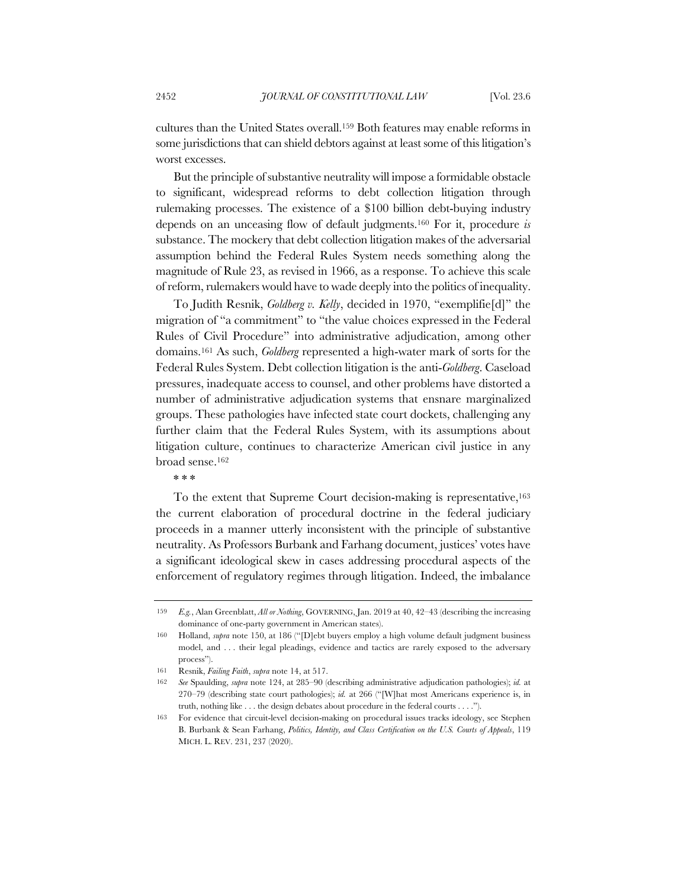cultures than the United States overall.159 Both features may enable reforms in some jurisdictions that can shield debtors against at least some of this litigation's worst excesses.

But the principle of substantive neutrality will impose a formidable obstacle to significant, widespread reforms to debt collection litigation through rulemaking processes. The existence of a \$100 billion debt-buying industry depends on an unceasing flow of default judgments.160 For it, procedure *is*  substance. The mockery that debt collection litigation makes of the adversarial assumption behind the Federal Rules System needs something along the magnitude of Rule 23, as revised in 1966, as a response. To achieve this scale of reform, rulemakers would have to wade deeply into the politics of inequality.

To Judith Resnik, *Goldberg v. Kelly*, decided in 1970, "exemplifie[d]" the migration of "a commitment" to "the value choices expressed in the Federal Rules of Civil Procedure" into administrative adjudication, among other domains.161 As such, *Goldberg* represented a high-water mark of sorts for the Federal Rules System. Debt collection litigation is the anti-*Goldberg*. Caseload pressures, inadequate access to counsel, and other problems have distorted a number of administrative adjudication systems that ensnare marginalized groups. These pathologies have infected state court dockets, challenging any further claim that the Federal Rules System, with its assumptions about litigation culture, continues to characterize American civil justice in any broad sense.162

\* \* \*

To the extent that Supreme Court decision-making is representative,<sup>163</sup> the current elaboration of procedural doctrine in the federal judiciary proceeds in a manner utterly inconsistent with the principle of substantive neutrality. As Professors Burbank and Farhang document, justices' votes have a significant ideological skew in cases addressing procedural aspects of the enforcement of regulatory regimes through litigation. Indeed, the imbalance

<sup>159</sup> *E.g.*, Alan Greenblatt, *All or Nothing*, GOVERNING, Jan. 2019 at 40, 42–43 (describing the increasing dominance of one-party government in American states).

<sup>160</sup> Holland, *supra* note 150, at 186 ("[D]ebt buyers employ a high volume default judgment business model, and . . . their legal pleadings, evidence and tactics are rarely exposed to the adversary process").

<sup>161</sup> Resnik, *Failing Faith*, *supra* note 14, at 517.

<sup>162</sup> *See* Spaulding, *supra* note 124, at 285–90 (describing administrative adjudication pathologies); *id.* at 270–79 (describing state court pathologies); *id.* at 266 ("[W]hat most Americans experience is, in truth, nothing like . . . the design debates about procedure in the federal courts . . . .").

<sup>163</sup> For evidence that circuit-level decision-making on procedural issues tracks ideology, see Stephen B. Burbank & Sean Farhang, *Politics, Identity, and Class Certification on the U.S. Courts of Appeals*, 119 MICH. L. REV. 231, 237 (2020).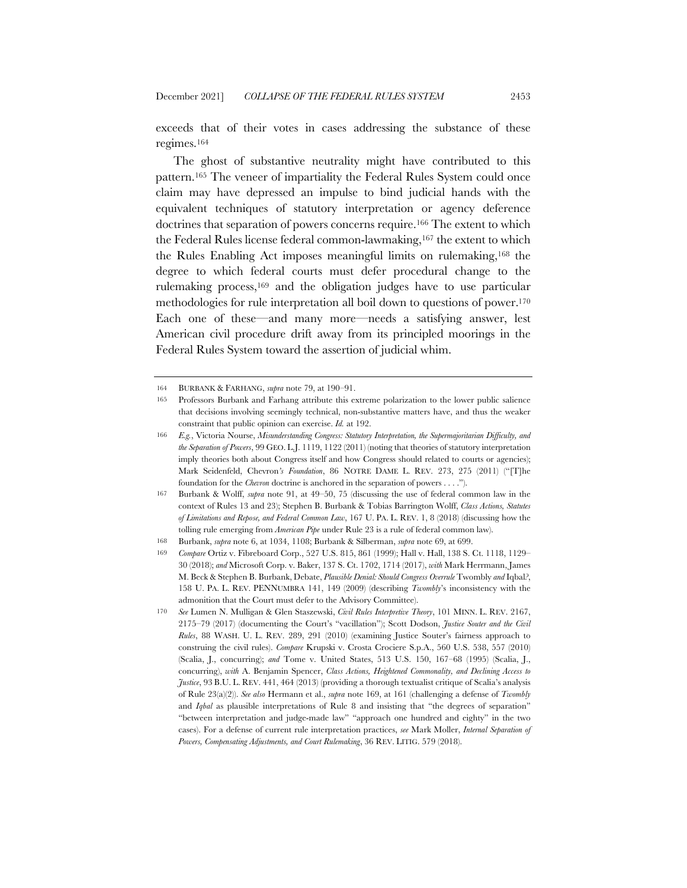exceeds that of their votes in cases addressing the substance of these regimes.164

The ghost of substantive neutrality might have contributed to this pattern.165 The veneer of impartiality the Federal Rules System could once claim may have depressed an impulse to bind judicial hands with the equivalent techniques of statutory interpretation or agency deference doctrines that separation of powers concerns require.166 The extent to which the Federal Rules license federal common-lawmaking,167 the extent to which the Rules Enabling Act imposes meaningful limits on rulemaking,168 the degree to which federal courts must defer procedural change to the rulemaking process,169 and the obligation judges have to use particular methodologies for rule interpretation all boil down to questions of power.170 Each one of these—and many more—needs a satisfying answer, lest American civil procedure drift away from its principled moorings in the Federal Rules System toward the assertion of judicial whim.

<sup>164</sup> BURBANK & FARHANG, *supra* note 79, at 190–91.

<sup>165</sup> Professors Burbank and Farhang attribute this extreme polarization to the lower public salience that decisions involving seemingly technical, non-substantive matters have, and thus the weaker constraint that public opinion can exercise. *Id.* at 192.

<sup>166</sup> *E.g.*, Victoria Nourse, *Misunderstanding Congress: Statutory Interpretation, the Supermajoritarian Difficulty, and the Separation of Powers*, 99 GEO. L.J. 1119, 1122 (2011) (noting that theories of statutory interpretation imply theories both about Congress itself and how Congress should related to courts or agencies); Mark Seidenfeld, Chevron*'s Foundation*, 86 NOTRE DAME L. REV. 273, 275 (2011) ("[T]he foundation for the *Chevron* doctrine is anchored in the separation of powers . . . .").

<sup>167</sup> Burbank & Wolff, *supra* note 91, at 49–50, 75 (discussing the use of federal common law in the context of Rules 13 and 23); Stephen B. Burbank & Tobias Barrington Wolff, *Class Actions, Statutes of Limitations and Repose, and Federal Common Law*, 167 U. PA. L. REV. 1, 8 (2018) (discussing how the tolling rule emerging from *American Pipe* under Rule 23 is a rule of federal common law).

<sup>168</sup> Burbank, *supra* note 6, at 1034, 1108; Burbank & Silberman, *supra* note 69, at 699.

<sup>169</sup> *Compare* Ortiz v. Fibreboard Corp., 527 U.S. 815, 861 (1999); Hall v. Hall, 138 S. Ct. 1118, 1129– 30 (2018); *and* Microsoft Corp. v. Baker, 137 S. Ct. 1702, 1714 (2017), *with* Mark Herrmann, James M. Beck & Stephen B. Burbank, Debate, *Plausible Denial: Should Congress Overrule* Twombly *and* Iqbal*?*, 158 U. PA. L. REV. PENNUMBRA 141, 149 (2009) (describing *Twombly*'s inconsistency with the admonition that the Court must defer to the Advisory Committee).

<sup>170</sup> *See* Lumen N. Mulligan & Glen Staszewski, *Civil Rules Interpretive Theory*, 101 MINN. L. REV. 2167, 2175–79 (2017) (documenting the Court's "vacillation"); Scott Dodson, *Justice Souter and the Civil Rules*, 88 WASH. U. L. REV. 289, 291 (2010) (examining Justice Souter's fairness approach to construing the civil rules). *Compare* Krupski v. Crosta Crociere S.p.A., 560 U.S. 538, 557 (2010) (Scalia, J., concurring); *and* Tome v. United States, 513 U.S. 150, 167–68 (1995) (Scalia, J., concurring), *with* A. Benjamin Spencer, *Class Actions, Heightened Commonality, and Declining Access to Justice*, 93 B.U. L. REV. 441, 464 (2013) (providing a thorough textualist critique of Scalia's analysis of Rule 23(a)(2)). *See also* Hermann et al., *supra* note 169, at 161 (challenging a defense of *Twombly* and *Iqbal* as plausible interpretations of Rule 8 and insisting that "the degrees of separation" "between interpretation and judge-made law" "approach one hundred and eighty" in the two cases). For a defense of current rule interpretation practices, *see* Mark Moller, *Internal Separation of Powers, Compensating Adjustments, and Court Rulemaking*, 36 REV. LITIG. 579 (2018).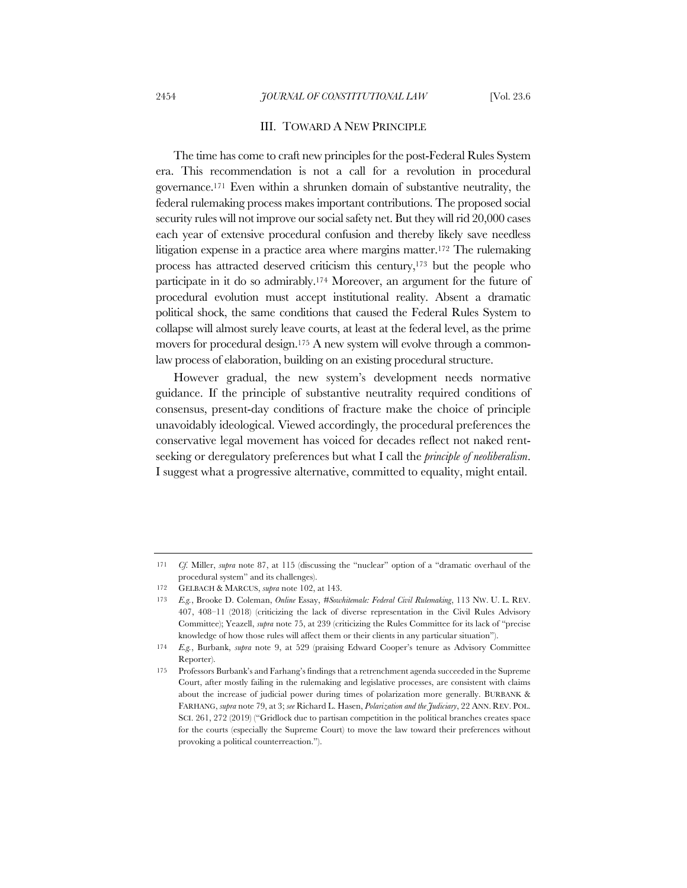#### III. TOWARD A NEW PRINCIPLE

The time has come to craft new principles for the post-Federal Rules System era. This recommendation is not a call for a revolution in procedural governance.171 Even within a shrunken domain of substantive neutrality, the federal rulemaking process makes important contributions. The proposed social security rules will not improve our social safety net. But they will rid 20,000 cases each year of extensive procedural confusion and thereby likely save needless litigation expense in a practice area where margins matter.172 The rulemaking process has attracted deserved criticism this century,173 but the people who participate in it do so admirably.174 Moreover, an argument for the future of procedural evolution must accept institutional reality. Absent a dramatic political shock, the same conditions that caused the Federal Rules System to collapse will almost surely leave courts, at least at the federal level, as the prime movers for procedural design.175 A new system will evolve through a commonlaw process of elaboration, building on an existing procedural structure.

However gradual, the new system's development needs normative guidance. If the principle of substantive neutrality required conditions of consensus, present-day conditions of fracture make the choice of principle unavoidably ideological. Viewed accordingly, the procedural preferences the conservative legal movement has voiced for decades reflect not naked rentseeking or deregulatory preferences but what I call the *principle of neoliberalism*. I suggest what a progressive alternative, committed to equality, might entail.

<sup>171</sup> *Cf.* Miller, *supra* note 87, at 115 (discussing the "nuclear" option of a "dramatic overhaul of the procedural system" and its challenges).

<sup>172</sup> GELBACH & MARCUS, *supra* note 102, at 143.

<sup>173</sup> *E.g.*, Brooke D. Coleman, *Online* Essay, *#Sowhitemale: Federal Civil Rulemaking*, 113 NW. U. L. REV. 407, 408–11 (2018) (criticizing the lack of diverse representation in the Civil Rules Advisory Committee); Yeazell, *supra* note 75, at 239 (criticizing the Rules Committee for its lack of "precise knowledge of how those rules will affect them or their clients in any particular situation").

<sup>174</sup> *E.g.*, Burbank, *supra* note 9, at 529 (praising Edward Cooper's tenure as Advisory Committee Reporter).

<sup>175</sup> Professors Burbank's and Farhang's findings that a retrenchment agenda succeeded in the Supreme Court, after mostly failing in the rulemaking and legislative processes, are consistent with claims about the increase of judicial power during times of polarization more generally. BURBANK & FARHANG, *supra* note 79, at 3; *see* Richard L. Hasen, *Polarization and the Judiciary*, 22 ANN. REV. POL. SCI. 261, 272 (2019) ("Gridlock due to partisan competition in the political branches creates space for the courts (especially the Supreme Court) to move the law toward their preferences without provoking a political counterreaction.").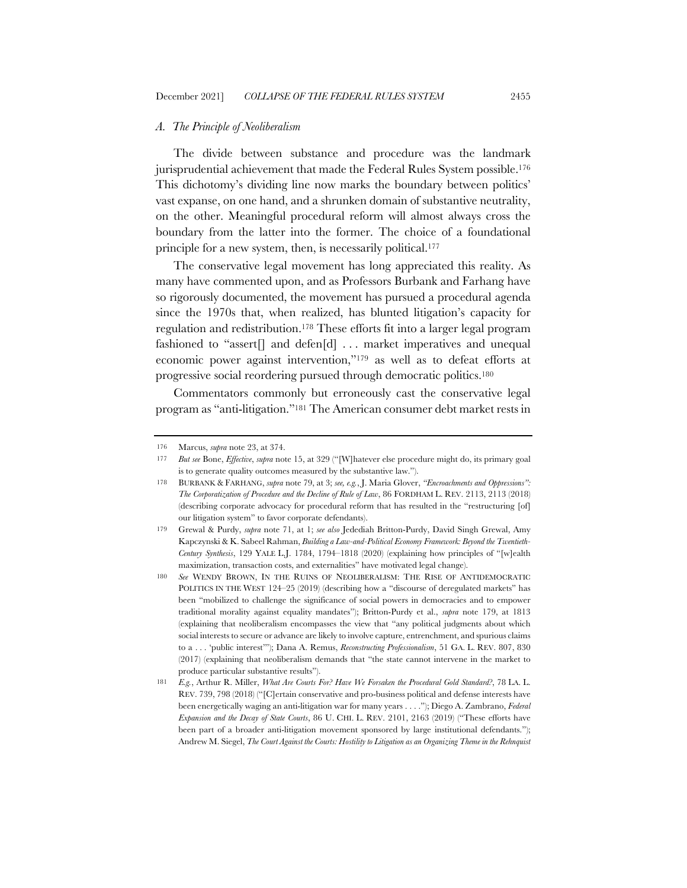#### *A. The Principle of Neoliberalism*

The divide between substance and procedure was the landmark jurisprudential achievement that made the Federal Rules System possible.<sup>176</sup> This dichotomy's dividing line now marks the boundary between politics' vast expanse, on one hand, and a shrunken domain of substantive neutrality, on the other. Meaningful procedural reform will almost always cross the boundary from the latter into the former. The choice of a foundational principle for a new system, then, is necessarily political.177

The conservative legal movement has long appreciated this reality. As many have commented upon, and as Professors Burbank and Farhang have so rigorously documented, the movement has pursued a procedural agenda since the 1970s that, when realized, has blunted litigation's capacity for regulation and redistribution.178 These efforts fit into a larger legal program fashioned to "assert<sup>[]</sup> and defen<sup>[d]</sup> ... market imperatives and unequal economic power against intervention,"179 as well as to defeat efforts at progressive social reordering pursued through democratic politics.180

Commentators commonly but erroneously cast the conservative legal program as "anti-litigation."181 The American consumer debt market rests in

<sup>176</sup> Marcus, *supra* note 23, at 374.

<sup>177</sup> *But see* Bone, *Effective*, *supra* note 15, at 329 ("[W]hatever else procedure might do, its primary goal is to generate quality outcomes measured by the substantive law.").

<sup>178</sup> BURBANK & FARHANG, *supra* note 79, at 3; *see, e.g.*, J. Maria Glover, *"Encroachments and Oppressions": The Corporatization of Procedure and the Decline of Rule of Law*, 86 FORDHAM L. REV. 2113, 2113 (2018) (describing corporate advocacy for procedural reform that has resulted in the "restructuring [of] our litigation system" to favor corporate defendants).

<sup>179</sup> Grewal & Purdy, *supra* note 71, at 1; *see also* Jedediah Britton-Purdy, David Singh Grewal, Amy Kapczynski & K. Sabeel Rahman, *Building a Law-and-Political Economy Framework: Beyond the Twentieth-Century Synthesis*, 129 YALE L.J. 1784, 1794–1818 (2020) (explaining how principles of "[w]ealth maximization, transaction costs, and externalities" have motivated legal change).

<sup>180</sup> *See* WENDY BROWN, IN THE RUINS OF NEOLIBERALISM: THE RISE OF ANTIDEMOCRATIC POLITICS IN THE WEST 124–25 (2019) (describing how a "discourse of deregulated markets" has been "mobilized to challenge the significance of social powers in democracies and to empower traditional morality against equality mandates"); Britton-Purdy et al., *supra* note 179, at 1813 (explaining that neoliberalism encompasses the view that "any political judgments about which social interests to secure or advance are likely to involve capture, entrenchment, and spurious claims to a . . . 'public interest'"); Dana A. Remus, *Reconstructing Professionalism*, 51 GA. L. REV. 807, 830 (2017) (explaining that neoliberalism demands that "the state cannot intervene in the market to produce particular substantive results").

<sup>181</sup> *E.g.*, Arthur R. Miller, *What Are Courts For? Have We Forsaken the Procedural Gold Standard?*, 78 LA. L. REV. 739, 798 (2018) ("[C]ertain conservative and pro-business political and defense interests have been energetically waging an anti-litigation war for many years . . . ."); Diego A. Zambrano, *Federal Expansion and the Decay of State Courts*, 86 U. CHI. L. REV. 2101, 2163 (2019) ("These efforts have been part of a broader anti-litigation movement sponsored by large institutional defendants."); Andrew M. Siegel, *The Court Against the Courts: Hostility to Litigation as an Organizing Theme in the Rehnquist*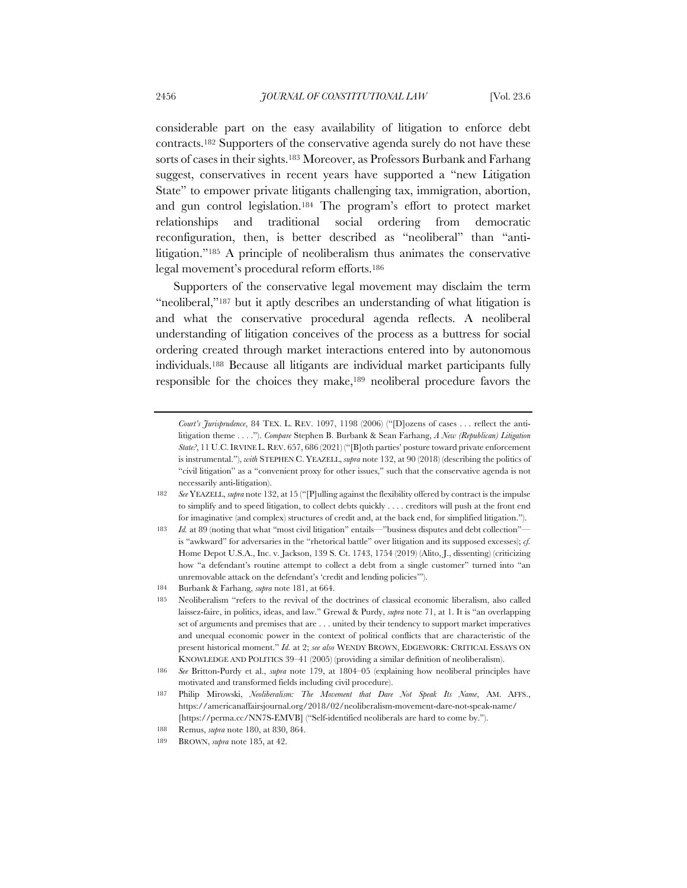considerable part on the easy availability of litigation to enforce debt contracts.182 Supporters of the conservative agenda surely do not have these sorts of cases in their sights.183 Moreover, as Professors Burbank and Farhang suggest, conservatives in recent years have supported a "new Litigation State" to empower private litigants challenging tax, immigration, abortion, and gun control legislation.184 The program's effort to protect market relationships and traditional social ordering from democratic reconfiguration, then, is better described as "neoliberal" than "antilitigation."185 A principle of neoliberalism thus animates the conservative legal movement's procedural reform efforts.186

Supporters of the conservative legal movement may disclaim the term "neoliberal,"<sup>187</sup> but it aptly describes an understanding of what litigation is and what the conservative procedural agenda reflects. A neoliberal understanding of litigation conceives of the process as a buttress for social ordering created through market interactions entered into by autonomous individuals.188 Because all litigants are individual market participants fully responsible for the choices they make,189 neoliberal procedure favors the

*Court's Jurisprudence*, 84 TEX. L. REV. 1097, 1198 (2006) ("[D]ozens of cases . . . reflect the antilitigation theme . . . ."). *Compare* Stephen B. Burbank & Sean Farhang, *A New (Republican) Litigation State?*, 11 U.C.IRVINE L. REV. 657, 686 (2021) ("[B]oth parties' posture toward private enforcement is instrumental."), *with* STEPHEN C. YEAZELL, *supra* note 132, at 90 (2018) (describing the politics of "civil litigation" as a "convenient proxy for other issues," such that the conservative agenda is not necessarily anti-litigation).

<sup>182</sup> *See* YEAZELL, *supra* note 132, at 15 ("[P]ulling against the flexibility offered by contract is the impulse to simplify and to speed litigation, to collect debts quickly . . . . creditors will push at the front end for imaginative (and complex) structures of credit and, at the back end, for simplified litigation.").

<sup>183</sup> *Id.* at 89 (noting that what "most civil litigation" entails—"business disputes and debt collection" is "awkward" for adversaries in the "rhetorical battle" over litigation and its supposed excesses); *cf.* Home Depot U.S.A., Inc. v. Jackson, 139 S. Ct. 1743, 1754 (2019) (Alito, J., dissenting) (criticizing how "a defendant's routine attempt to collect a debt from a single customer" turned into "an unremovable attack on the defendant's 'credit and lending policies'").

<sup>184</sup> Burbank & Farhang, *supra* note 181, at 664.

<sup>185</sup> Neoliberalism "refers to the revival of the doctrines of classical economic liberalism, also called laissez-faire, in politics, ideas, and law." Grewal & Purdy, *supra* note 71, at 1. It is "an overlapping set of arguments and premises that are . . . united by their tendency to support market imperatives and unequal economic power in the context of political conflicts that are characteristic of the present historical moment." *Id.* at 2; *see also* WENDY BROWN, EDGEWORK: CRITICAL ESSAYS ON KNOWLEDGE AND POLITICS 39–41 (2005) (providing a similar definition of neoliberalism).

<sup>186</sup> *See* Britton-Purdy et al., *supra* note 179, at 1804–05 (explaining how neoliberal principles have motivated and transformed fields including civil procedure).

<sup>187</sup> Philip Mirowski, *Neoliberalism: The Movement that Dare Not Speak Its Name*, AM. AFFS., https://americanaffairsjournal.org/2018/02/neoliberalism-movement-dare-not-speak-name/ [https://perma.cc/NN7S-EMVB] ("Self-identified neoliberals are hard to come by.").

<sup>188</sup> Remus, *supra* note 180, at 830, 864.

<sup>189</sup> BROWN, *supra* note 185, at 42.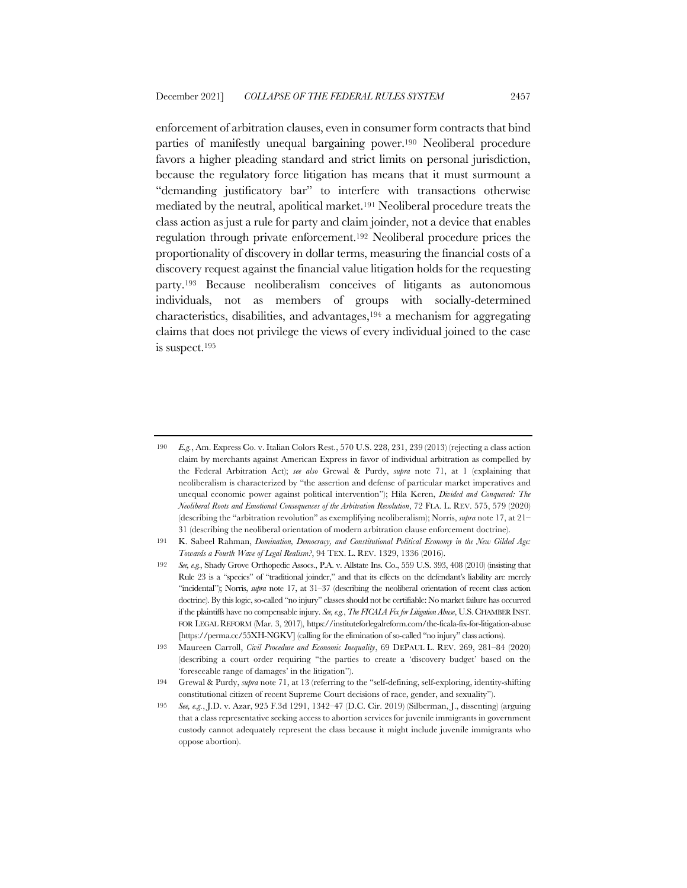enforcement of arbitration clauses, even in consumer form contracts that bind parties of manifestly unequal bargaining power.190 Neoliberal procedure favors a higher pleading standard and strict limits on personal jurisdiction, because the regulatory force litigation has means that it must surmount a "demanding justificatory bar" to interfere with transactions otherwise mediated by the neutral, apolitical market.191 Neoliberal procedure treats the class action as just a rule for party and claim joinder, not a device that enables regulation through private enforcement.192 Neoliberal procedure prices the proportionality of discovery in dollar terms, measuring the financial costs of a discovery request against the financial value litigation holds for the requesting party.193 Because neoliberalism conceives of litigants as autonomous individuals, not as members of groups with socially-determined characteristics, disabilities, and advantages,194 a mechanism for aggregating claims that does not privilege the views of every individual joined to the case is suspect.195

<sup>190</sup> *E.g.*, Am. Express Co. v. Italian Colors Rest., 570 U.S. 228, 231, 239 (2013) (rejecting a class action claim by merchants against American Express in favor of individual arbitration as compelled by the Federal Arbitration Act); *see also* Grewal & Purdy, *supra* note 71, at 1 (explaining that neoliberalism is characterized by "the assertion and defense of particular market imperatives and unequal economic power against political intervention"); Hila Keren, *Divided and Conquered: The Neoliberal Roots and Emotional Consequences of the Arbitration Revolution*, 72 FLA. L. REV. 575, 579 (2020) (describing the "arbitration revolution" as exemplifying neoliberalism); Norris, *supra* note 17, at 21– 31 (describing the neoliberal orientation of modern arbitration clause enforcement doctrine).

<sup>191</sup> K. Sabeel Rahman, *Domination, Democracy, and Constitutional Political Economy in the New Gilded Age: Towards a Fourth Wave of Legal Realism?*, 94 TEX. L. REV. 1329, 1336 (2016).

<sup>192</sup> *See, e.g.*, Shady Grove Orthopedic Assocs., P.A. v. Allstate Ins. Co., 559 U.S. 393, 408 (2010) (insisting that Rule 23 is a "species" of "traditional joinder," and that its effects on the defendant's liability are merely "incidental"); Norris, *supra* note 17, at 31–37 (describing the neoliberal orientation of recent class action doctrine). By this logic, so-called "no injury" classes should not be certifiable: No market failure has occurred if the plaintiffs have no compensable injury. *See, e.g.*, *The FICALA Fix for Litigation Abuse*, U.S.CHAMBER INST. FOR LEGAL REFORM (Mar. 3, 2017), https://instituteforlegalreform.com/the-ficala-fix-for-litigation-abuse [https://perma.cc/55XH-NGKV] (calling for the elimination of so-called "no injury" class actions).

<sup>193</sup> Maureen Carroll, *Civil Procedure and Economic Inequality*, 69 DEPAUL L. REV. 269, 281–84 (2020) (describing a court order requiring "the parties to create a 'discovery budget' based on the 'foreseeable range of damages' in the litigation").

<sup>194</sup> Grewal & Purdy, *supra* note 71, at 13 (referring to the "self-defining, self-exploring, identity-shifting constitutional citizen of recent Supreme Court decisions of race, gender, and sexuality").

<sup>195</sup> *See, e.g.*, J.D. v. Azar, 925 F.3d 1291, 1342–47 (D.C. Cir. 2019) (Silberman, J., dissenting) (arguing that a class representative seeking access to abortion services for juvenile immigrants in government custody cannot adequately represent the class because it might include juvenile immigrants who oppose abortion).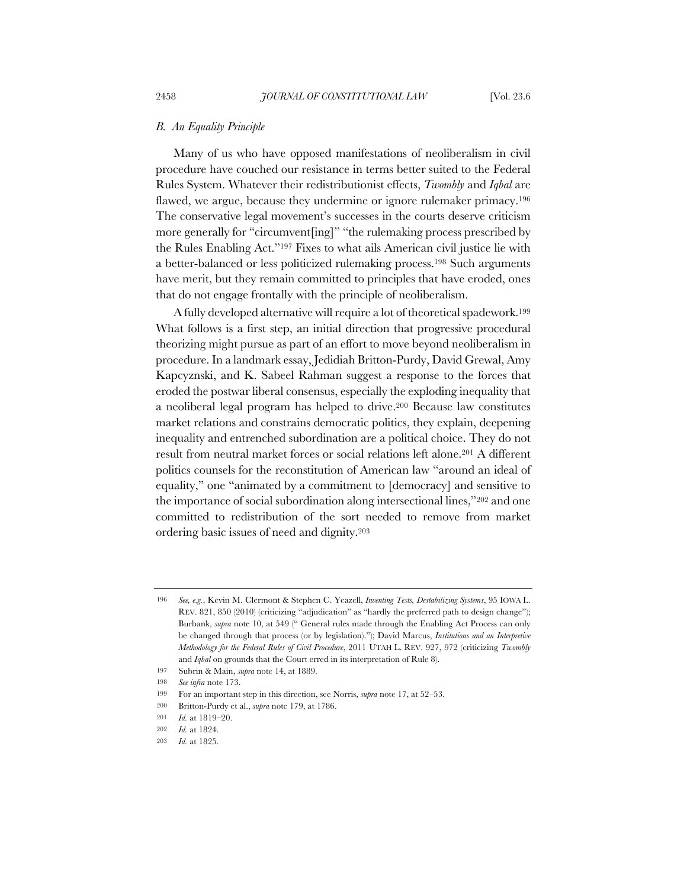### *B. An Equality Principle*

Many of us who have opposed manifestations of neoliberalism in civil procedure have couched our resistance in terms better suited to the Federal Rules System. Whatever their redistributionist effects, *Twombly* and *Iqbal* are flawed, we argue, because they undermine or ignore rulemaker primacy.<sup>196</sup> The conservative legal movement's successes in the courts deserve criticism more generally for "circumvent[ing]" "the rulemaking process prescribed by the Rules Enabling Act."197 Fixes to what ails American civil justice lie with a better-balanced or less politicized rulemaking process.198 Such arguments have merit, but they remain committed to principles that have eroded, ones that do not engage frontally with the principle of neoliberalism.

A fully developed alternative will require a lot of theoretical spadework.199 What follows is a first step, an initial direction that progressive procedural theorizing might pursue as part of an effort to move beyond neoliberalism in procedure. In a landmark essay, Jedidiah Britton-Purdy, David Grewal, Amy Kapcyznski, and K. Sabeel Rahman suggest a response to the forces that eroded the postwar liberal consensus, especially the exploding inequality that a neoliberal legal program has helped to drive.200 Because law constitutes market relations and constrains democratic politics, they explain, deepening inequality and entrenched subordination are a political choice. They do not result from neutral market forces or social relations left alone.201 A different politics counsels for the reconstitution of American law "around an ideal of equality," one "animated by a commitment to [democracy] and sensitive to the importance of social subordination along intersectional lines,"202 and one committed to redistribution of the sort needed to remove from market ordering basic issues of need and dignity.203

<sup>196</sup> *See, e.g.*, Kevin M. Clermont & Stephen C. Yeazell, *Inventing Tests, Destabilizing Systems*, 95 IOWA L. REV. 821, 850 (2010) (criticizing "adjudication" as "hardly the preferred path to design change"); Burbank, *supra* note 10, at 549 (" General rules made through the Enabling Act Process can only be changed through that process (or by legislation)."); David Marcus, *Institutions and an Interpretive Methodology for the Federal Rules of Civil Procedure*, 2011 UTAH L. REV. 927, 972 (criticizing *Twombly* and *Iqbal* on grounds that the Court erred in its interpretation of Rule 8).

<sup>197</sup> Subrin & Main, *supra* note 14, at 1889.

<sup>198</sup> *See infra* note 173.

<sup>199</sup> For an important step in this direction, see Norris, *supra* note 17, at 52–53.

<sup>200</sup> Britton-Purdy et al., *supra* note 179, at 1786.

<sup>201</sup> *Id.* at 1819–20.

<sup>202</sup> *Id.* at 1824.

<sup>203</sup> *Id.* at 1825.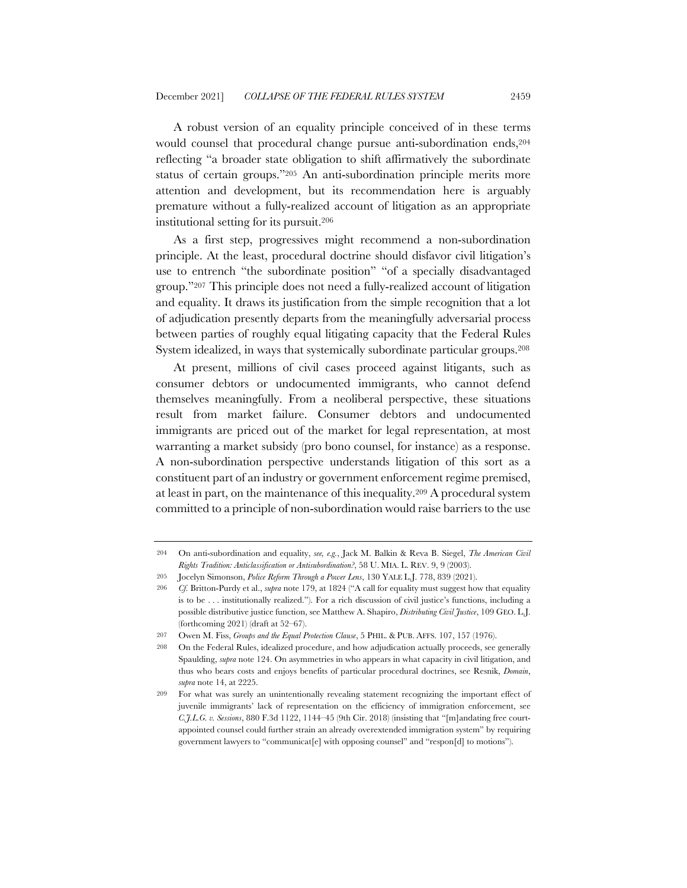A robust version of an equality principle conceived of in these terms would counsel that procedural change pursue anti-subordination ends,204 reflecting "a broader state obligation to shift affirmatively the subordinate status of certain groups."205 An anti-subordination principle merits more attention and development, but its recommendation here is arguably premature without a fully-realized account of litigation as an appropriate institutional setting for its pursuit.206

As a first step, progressives might recommend a non-subordination principle. At the least, procedural doctrine should disfavor civil litigation's use to entrench "the subordinate position" "of a specially disadvantaged group."207 This principle does not need a fully-realized account of litigation and equality. It draws its justification from the simple recognition that a lot of adjudication presently departs from the meaningfully adversarial process between parties of roughly equal litigating capacity that the Federal Rules System idealized, in ways that systemically subordinate particular groups.208

At present, millions of civil cases proceed against litigants, such as consumer debtors or undocumented immigrants, who cannot defend themselves meaningfully. From a neoliberal perspective, these situations result from market failure. Consumer debtors and undocumented immigrants are priced out of the market for legal representation, at most warranting a market subsidy (pro bono counsel, for instance) as a response. A non-subordination perspective understands litigation of this sort as a constituent part of an industry or government enforcement regime premised, at least in part, on the maintenance of this inequality.209 A procedural system committed to a principle of non-subordination would raise barriers to the use

<sup>204</sup> On anti-subordination and equality, *see, e.g.*, Jack M. Balkin & Reva B. Siegel, *The American Civil Rights Tradition: Anticlassification or Antisubordination?*, 58 U. MIA. L. REV. 9, 9 (2003).

<sup>205</sup> Jocelyn Simonson, *Police Reform Through a Power Lens*, 130 YALE L.J. 778, 839 (2021).

<sup>206</sup> *Cf.* Britton-Purdy et al., *supra* note 179, at 1824 ("A call for equality must suggest how that equality is to be . . . institutionally realized."). For a rich discussion of civil justice's functions, including a possible distributive justice function, see Matthew A. Shapiro, *Distributing Civil Justice*, 109 GEO. L.J. (forthcoming 2021) (draft at 52–67).

<sup>207</sup> Owen M. Fiss, *Groups and the Equal Protection Clause*, 5 PHIL. & PUB. AFFS. 107, 157 (1976).

<sup>208</sup> On the Federal Rules, idealized procedure, and how adjudication actually proceeds, see generally Spaulding, *supra* note 124. On asymmetries in who appears in what capacity in civil litigation, and thus who bears costs and enjoys benefits of particular procedural doctrines, see Resnik, *Domain*, *supra* note 14, at 2225.

<sup>209</sup> For what was surely an unintentionally revealing statement recognizing the important effect of juvenile immigrants' lack of representation on the efficiency of immigration enforcement, see *C.J.L.G. v. Sessions*, 880 F.3d 1122, 1144–45 (9th Cir. 2018) (insisting that "[m]andating free courtappointed counsel could further strain an already overextended immigration system" by requiring government lawyers to "communicat[e] with opposing counsel" and "respon[d] to motions").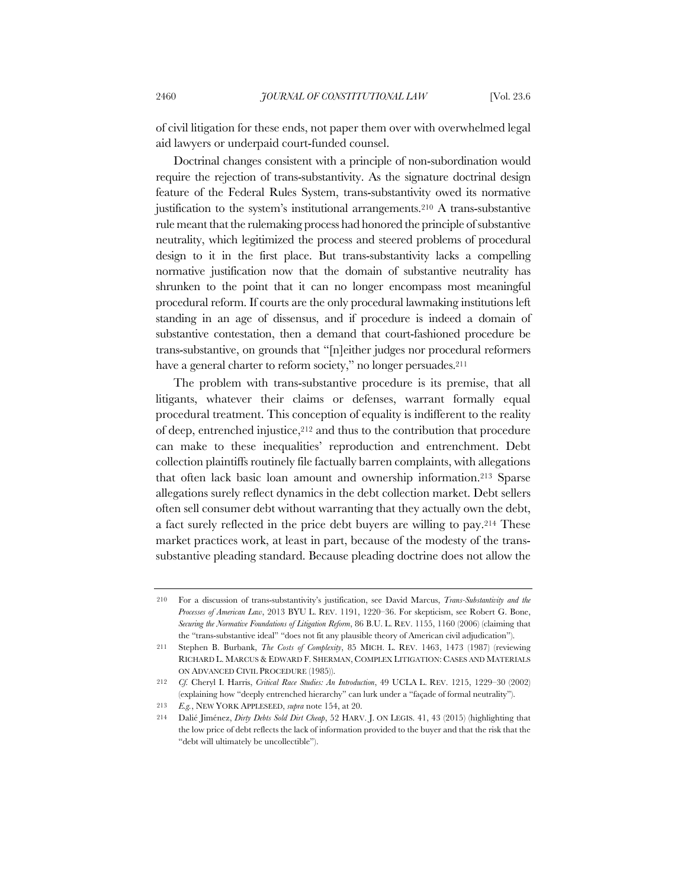of civil litigation for these ends, not paper them over with overwhelmed legal aid lawyers or underpaid court-funded counsel.

Doctrinal changes consistent with a principle of non-subordination would require the rejection of trans-substantivity. As the signature doctrinal design feature of the Federal Rules System, trans-substantivity owed its normative justification to the system's institutional arrangements.210 A trans-substantive rule meant that the rulemaking process had honored the principle of substantive neutrality, which legitimized the process and steered problems of procedural design to it in the first place. But trans-substantivity lacks a compelling normative justification now that the domain of substantive neutrality has shrunken to the point that it can no longer encompass most meaningful procedural reform. If courts are the only procedural lawmaking institutions left standing in an age of dissensus, and if procedure is indeed a domain of substantive contestation, then a demand that court-fashioned procedure be trans-substantive, on grounds that "[n]either judges nor procedural reformers have a general charter to reform society," no longer persuades.<sup>211</sup>

The problem with trans-substantive procedure is its premise, that all litigants, whatever their claims or defenses, warrant formally equal procedural treatment. This conception of equality is indifferent to the reality of deep, entrenched injustice,212 and thus to the contribution that procedure can make to these inequalities' reproduction and entrenchment. Debt collection plaintiffs routinely file factually barren complaints, with allegations that often lack basic loan amount and ownership information.213 Sparse allegations surely reflect dynamics in the debt collection market. Debt sellers often sell consumer debt without warranting that they actually own the debt, a fact surely reflected in the price debt buyers are willing to pay.214 These market practices work, at least in part, because of the modesty of the transsubstantive pleading standard. Because pleading doctrine does not allow the

<sup>210</sup> For a discussion of trans-substantivity's justification, see David Marcus, *Trans-Substantivity and the Processes of American Law*, 2013 BYU L. REV. 1191, 1220–36. For skepticism, see Robert G. Bone, *Securing the Normative Foundations of Litigation Reform*, 86 B.U. L. REV. 1155, 1160 (2006) (claiming that the "trans-substantive ideal" "does not fit any plausible theory of American civil adjudication").

<sup>211</sup> Stephen B. Burbank, *The Costs of Complexity*, 85 MICH. L. REV. 1463, 1473 (1987) (reviewing RICHARD L. MARCUS & EDWARD F. SHERMAN, COMPLEX LITIGATION: CASES AND MATERIALS ON ADVANCED CIVIL PROCEDURE (1985)).

<sup>212</sup> *Cf.* Cheryl I. Harris, *Critical Race Studies: An Introduction*, 49 UCLA L. REV. 1215, 1229–30 (2002) (explaining how "deeply entrenched hierarchy" can lurk under a "façade of formal neutrality").

<sup>213</sup> *E.g.*, NEW YORK APPLESEED, *supra* note 154, at 20.

<sup>214</sup> Dalié Jiménez, *Dirty Debts Sold Dirt Cheap*, 52 HARV. J. ON LEGIS. 41, 43 (2015) (highlighting that the low price of debt reflects the lack of information provided to the buyer and that the risk that the "debt will ultimately be uncollectible").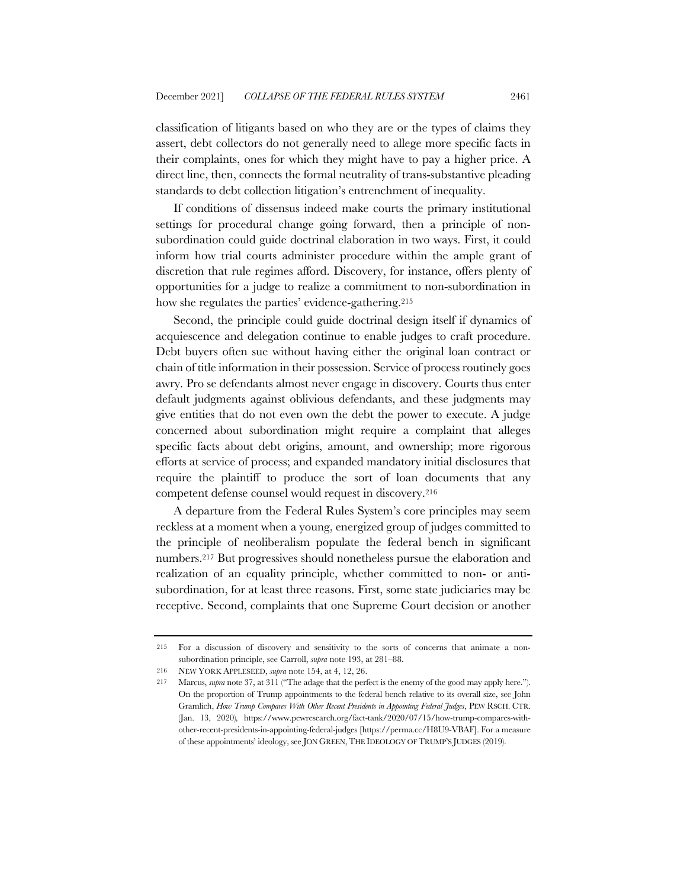classification of litigants based on who they are or the types of claims they assert, debt collectors do not generally need to allege more specific facts in their complaints, ones for which they might have to pay a higher price. A direct line, then, connects the formal neutrality of trans-substantive pleading standards to debt collection litigation's entrenchment of inequality.

If conditions of dissensus indeed make courts the primary institutional settings for procedural change going forward, then a principle of nonsubordination could guide doctrinal elaboration in two ways. First, it could inform how trial courts administer procedure within the ample grant of discretion that rule regimes afford. Discovery, for instance, offers plenty of opportunities for a judge to realize a commitment to non-subordination in how she regulates the parties' evidence-gathering.<sup>215</sup>

Second, the principle could guide doctrinal design itself if dynamics of acquiescence and delegation continue to enable judges to craft procedure. Debt buyers often sue without having either the original loan contract or chain of title information in their possession. Service of process routinely goes awry. Pro se defendants almost never engage in discovery. Courts thus enter default judgments against oblivious defendants, and these judgments may give entities that do not even own the debt the power to execute. A judge concerned about subordination might require a complaint that alleges specific facts about debt origins, amount, and ownership; more rigorous efforts at service of process; and expanded mandatory initial disclosures that require the plaintiff to produce the sort of loan documents that any competent defense counsel would request in discovery.216

A departure from the Federal Rules System's core principles may seem reckless at a moment when a young, energized group of judges committed to the principle of neoliberalism populate the federal bench in significant numbers.217 But progressives should nonetheless pursue the elaboration and realization of an equality principle, whether committed to non- or antisubordination, for at least three reasons. First, some state judiciaries may be receptive. Second, complaints that one Supreme Court decision or another

<sup>215</sup> For a discussion of discovery and sensitivity to the sorts of concerns that animate a nonsubordination principle, see Carroll, *supra* note 193, at 281–88.

<sup>216</sup> NEW YORK APPLESEED, *supra* note 154, at 4, 12, 26.

<sup>217</sup> Marcus, *supra* note 37, at 311 ("The adage that the perfect is the enemy of the good may apply here."). On the proportion of Trump appointments to the federal bench relative to its overall size, see John Gramlich, *How Trump Compares With Other Recent Presidents in Appointing Federal Judges*, PEW RSCH. CTR. (Jan. 13, 2020)*,* https://www.pewresearch.org/fact-tank/2020/07/15/how-trump-compares-withother-recent-presidents-in-appointing-federal-judges [https://perma.cc/H8U9-VBAF]. For a measure of these appointments' ideology, see JON GREEN,THE IDEOLOGY OF TRUMP'S JUDGES (2019).